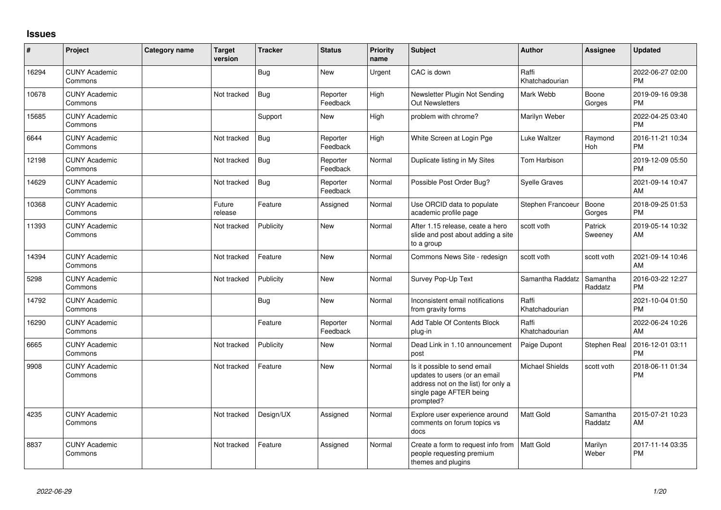## **Issues**

| #     | Project                         | <b>Category name</b> | <b>Target</b><br>version | <b>Tracker</b> | <b>Status</b>        | <b>Priority</b><br>name | <b>Subject</b>                                                                                                                               | <b>Author</b>           | <b>Assignee</b>     | <b>Updated</b>                |
|-------|---------------------------------|----------------------|--------------------------|----------------|----------------------|-------------------------|----------------------------------------------------------------------------------------------------------------------------------------------|-------------------------|---------------------|-------------------------------|
| 16294 | <b>CUNY Academic</b><br>Commons |                      |                          | <b>Bug</b>     | <b>New</b>           | Urgent                  | CAC is down                                                                                                                                  | Raffi<br>Khatchadourian |                     | 2022-06-27 02:00<br><b>PM</b> |
| 10678 | <b>CUNY Academic</b><br>Commons |                      | Not tracked              | <b>Bug</b>     | Reporter<br>Feedback | High                    | Newsletter Plugin Not Sending<br><b>Out Newsletters</b>                                                                                      | Mark Webb               | Boone<br>Gorges     | 2019-09-16 09:38<br><b>PM</b> |
| 15685 | <b>CUNY Academic</b><br>Commons |                      |                          | Support        | New                  | High                    | problem with chrome?                                                                                                                         | Marilyn Weber           |                     | 2022-04-25 03:40<br><b>PM</b> |
| 6644  | <b>CUNY Academic</b><br>Commons |                      | Not tracked              | <b>Bug</b>     | Reporter<br>Feedback | High                    | White Screen at Login Pge                                                                                                                    | Luke Waltzer            | Raymond<br>Hoh      | 2016-11-21 10:34<br><b>PM</b> |
| 12198 | <b>CUNY Academic</b><br>Commons |                      | Not tracked              | <b>Bug</b>     | Reporter<br>Feedback | Normal                  | Duplicate listing in My Sites                                                                                                                | Tom Harbison            |                     | 2019-12-09 05:50<br><b>PM</b> |
| 14629 | <b>CUNY Academic</b><br>Commons |                      | Not tracked              | <b>Bug</b>     | Reporter<br>Feedback | Normal                  | Possible Post Order Bug?                                                                                                                     | Svelle Graves           |                     | 2021-09-14 10:47<br>AM        |
| 10368 | <b>CUNY Academic</b><br>Commons |                      | Future<br>release        | Feature        | Assigned             | Normal                  | Use ORCID data to populate<br>academic profile page                                                                                          | Stephen Francoeur       | Boone<br>Gorges     | 2018-09-25 01:53<br><b>PM</b> |
| 11393 | <b>CUNY Academic</b><br>Commons |                      | Not tracked              | Publicity      | <b>New</b>           | Normal                  | After 1.15 release, ceate a hero<br>slide and post about adding a site<br>to a group                                                         | scott voth              | Patrick<br>Sweeney  | 2019-05-14 10:32<br>AM        |
| 14394 | <b>CUNY Academic</b><br>Commons |                      | Not tracked              | Feature        | <b>New</b>           | Normal                  | Commons News Site - redesign                                                                                                                 | scott voth              | scott voth          | 2021-09-14 10:46<br>AM        |
| 5298  | <b>CUNY Academic</b><br>Commons |                      | Not tracked              | Publicity      | <b>New</b>           | Normal                  | Survey Pop-Up Text                                                                                                                           | Samantha Raddatz        | Samantha<br>Raddatz | 2016-03-22 12:27<br><b>PM</b> |
| 14792 | <b>CUNY Academic</b><br>Commons |                      |                          | <b>Bug</b>     | <b>New</b>           | Normal                  | Inconsistent email notifications<br>from gravity forms                                                                                       | Raffi<br>Khatchadourian |                     | 2021-10-04 01:50<br><b>PM</b> |
| 16290 | <b>CUNY Academic</b><br>Commons |                      |                          | Feature        | Reporter<br>Feedback | Normal                  | Add Table Of Contents Block<br>plug-in                                                                                                       | Raffi<br>Khatchadourian |                     | 2022-06-24 10:26<br>AM        |
| 6665  | <b>CUNY Academic</b><br>Commons |                      | Not tracked              | Publicity      | New                  | Normal                  | Dead Link in 1.10 announcement<br>post                                                                                                       | Paige Dupont            | <b>Stephen Real</b> | 2016-12-01 03:11<br><b>PM</b> |
| 9908  | <b>CUNY Academic</b><br>Commons |                      | Not tracked              | Feature        | <b>New</b>           | Normal                  | Is it possible to send email<br>updates to users (or an email<br>address not on the list) for only a<br>single page AFTER being<br>prompted? | <b>Michael Shields</b>  | scott voth          | 2018-06-11 01:34<br>PM        |
| 4235  | <b>CUNY Academic</b><br>Commons |                      | Not tracked              | Design/UX      | Assigned             | Normal                  | Explore user experience around<br>comments on forum topics vs<br>docs                                                                        | Matt Gold               | Samantha<br>Raddatz | 2015-07-21 10:23<br>AM        |
| 8837  | <b>CUNY Academic</b><br>Commons |                      | Not tracked              | Feature        | Assigned             | Normal                  | Create a form to request info from<br>people requesting premium<br>themes and plugins                                                        | <b>Matt Gold</b>        | Marilyn<br>Weber    | 2017-11-14 03:35<br><b>PM</b> |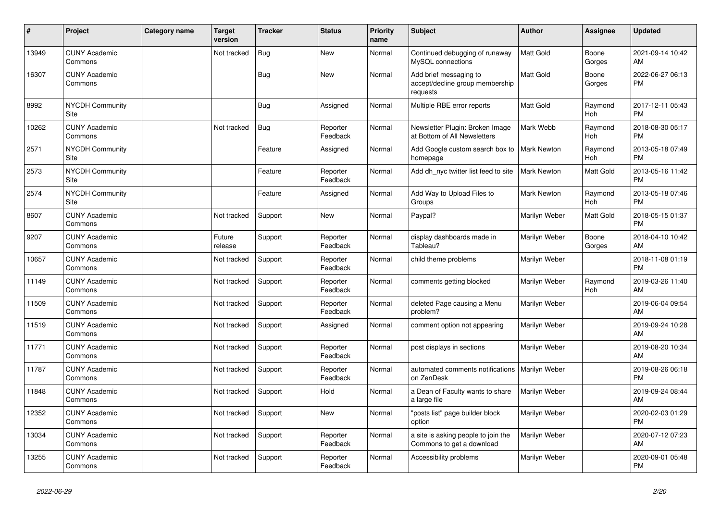| #     | Project                         | <b>Category name</b> | Target<br>version | <b>Tracker</b> | <b>Status</b>        | Priority<br>name | <b>Subject</b>                                                        | <b>Author</b>      | <b>Assignee</b>       | <b>Updated</b>                |
|-------|---------------------------------|----------------------|-------------------|----------------|----------------------|------------------|-----------------------------------------------------------------------|--------------------|-----------------------|-------------------------------|
| 13949 | <b>CUNY Academic</b><br>Commons |                      | Not tracked       | <b>Bug</b>     | <b>New</b>           | Normal           | Continued debugging of runaway<br>MySQL connections                   | Matt Gold          | Boone<br>Gorges       | 2021-09-14 10:42<br>AM        |
| 16307 | <b>CUNY Academic</b><br>Commons |                      |                   | <b>Bug</b>     | <b>New</b>           | Normal           | Add brief messaging to<br>accept/decline group membership<br>requests | Matt Gold          | Boone<br>Gorges       | 2022-06-27 06:13<br><b>PM</b> |
| 8992  | NYCDH Community<br>Site         |                      |                   | Bug            | Assigned             | Normal           | Multiple RBE error reports                                            | Matt Gold          | Raymond<br><b>Hoh</b> | 2017-12-11 05:43<br>PM        |
| 10262 | <b>CUNY Academic</b><br>Commons |                      | Not tracked       | <b>Bug</b>     | Reporter<br>Feedback | Normal           | Newsletter Plugin: Broken Image<br>at Bottom of All Newsletters       | Mark Webb          | Raymond<br><b>Hoh</b> | 2018-08-30 05:17<br>PM        |
| 2571  | <b>NYCDH Community</b><br>Site  |                      |                   | Feature        | Assigned             | Normal           | Add Google custom search box to<br>homepage                           | Mark Newton        | Raymond<br><b>Hoh</b> | 2013-05-18 07:49<br><b>PM</b> |
| 2573  | <b>NYCDH Community</b><br>Site  |                      |                   | Feature        | Reporter<br>Feedback | Normal           | Add dh nyc twitter list feed to site                                  | <b>Mark Newton</b> | <b>Matt Gold</b>      | 2013-05-16 11:42<br><b>PM</b> |
| 2574  | <b>NYCDH Community</b><br>Site  |                      |                   | Feature        | Assigned             | Normal           | Add Way to Upload Files to<br>Groups                                  | Mark Newton        | Raymond<br>Hoh        | 2013-05-18 07:46<br><b>PM</b> |
| 8607  | <b>CUNY Academic</b><br>Commons |                      | Not tracked       | Support        | <b>New</b>           | Normal           | Paypal?                                                               | Marilyn Weber      | Matt Gold             | 2018-05-15 01:37<br><b>PM</b> |
| 9207  | <b>CUNY Academic</b><br>Commons |                      | Future<br>release | Support        | Reporter<br>Feedback | Normal           | display dashboards made in<br>Tableau?                                | Marilyn Weber      | Boone<br>Gorges       | 2018-04-10 10:42<br>AM        |
| 10657 | <b>CUNY Academic</b><br>Commons |                      | Not tracked       | Support        | Reporter<br>Feedback | Normal           | child theme problems                                                  | Marilyn Weber      |                       | 2018-11-08 01:19<br><b>PM</b> |
| 11149 | <b>CUNY Academic</b><br>Commons |                      | Not tracked       | Support        | Reporter<br>Feedback | Normal           | comments getting blocked                                              | Marilyn Weber      | Raymond<br><b>Hoh</b> | 2019-03-26 11:40<br>AM        |
| 11509 | <b>CUNY Academic</b><br>Commons |                      | Not tracked       | Support        | Reporter<br>Feedback | Normal           | deleted Page causing a Menu<br>problem?                               | Marilyn Weber      |                       | 2019-06-04 09:54<br>AM        |
| 11519 | <b>CUNY Academic</b><br>Commons |                      | Not tracked       | Support        | Assigned             | Normal           | comment option not appearing                                          | Marilyn Weber      |                       | 2019-09-24 10:28<br>AM        |
| 11771 | <b>CUNY Academic</b><br>Commons |                      | Not tracked       | Support        | Reporter<br>Feedback | Normal           | post displays in sections                                             | Marilyn Weber      |                       | 2019-08-20 10:34<br>AM        |
| 11787 | <b>CUNY Academic</b><br>Commons |                      | Not tracked       | Support        | Reporter<br>Feedback | Normal           | automated comments notifications<br>on ZenDesk                        | Marilyn Weber      |                       | 2019-08-26 06:18<br>PM        |
| 11848 | <b>CUNY Academic</b><br>Commons |                      | Not tracked       | Support        | Hold                 | Normal           | a Dean of Faculty wants to share<br>a large file                      | Marilyn Weber      |                       | 2019-09-24 08:44<br>AM        |
| 12352 | <b>CUNY Academic</b><br>Commons |                      | Not tracked       | Support        | <b>New</b>           | Normal           | 'posts list" page builder block<br>option                             | Marilyn Weber      |                       | 2020-02-03 01:29<br><b>PM</b> |
| 13034 | <b>CUNY Academic</b><br>Commons |                      | Not tracked       | Support        | Reporter<br>Feedback | Normal           | a site is asking people to join the<br>Commons to get a download      | Marilyn Weber      |                       | 2020-07-12 07:23<br>AM        |
| 13255 | <b>CUNY Academic</b><br>Commons |                      | Not tracked       | Support        | Reporter<br>Feedback | Normal           | Accessibility problems                                                | Marilyn Weber      |                       | 2020-09-01 05:48<br><b>PM</b> |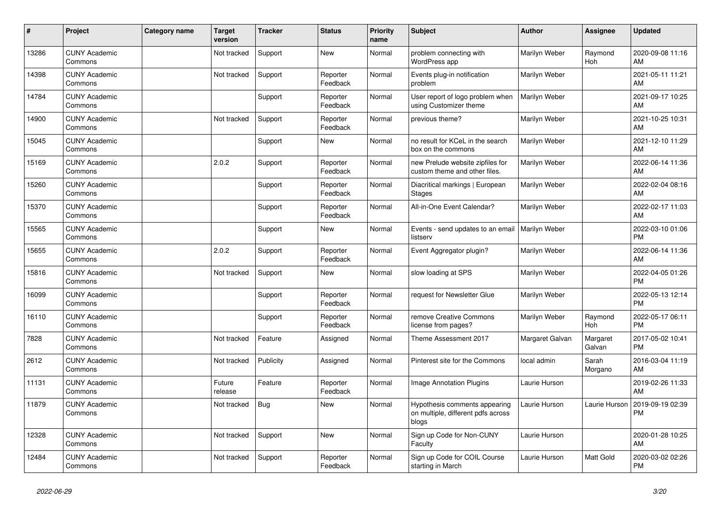| #     | <b>Project</b>                  | Category name | <b>Target</b><br>version | <b>Tracker</b> | <b>Status</b>        | <b>Priority</b><br>name | <b>Subject</b>                                                               | <b>Author</b>        | Assignee              | <b>Updated</b>                |
|-------|---------------------------------|---------------|--------------------------|----------------|----------------------|-------------------------|------------------------------------------------------------------------------|----------------------|-----------------------|-------------------------------|
| 13286 | <b>CUNY Academic</b><br>Commons |               | Not tracked              | Support        | <b>New</b>           | Normal                  | problem connecting with<br>WordPress app                                     | Marilyn Weber        | Raymond<br>Hoh        | 2020-09-08 11:16<br>AM        |
| 14398 | <b>CUNY Academic</b><br>Commons |               | Not tracked              | Support        | Reporter<br>Feedback | Normal                  | Events plug-in notification<br>problem                                       | Marilyn Weber        |                       | 2021-05-11 11:21<br>AM        |
| 14784 | <b>CUNY Academic</b><br>Commons |               |                          | Support        | Reporter<br>Feedback | Normal                  | User report of logo problem when<br>using Customizer theme                   | Marilyn Weber        |                       | 2021-09-17 10:25<br>AM        |
| 14900 | <b>CUNY Academic</b><br>Commons |               | Not tracked              | Support        | Reporter<br>Feedback | Normal                  | previous theme?                                                              | Marilyn Weber        |                       | 2021-10-25 10:31<br>AM        |
| 15045 | <b>CUNY Academic</b><br>Commons |               |                          | Support        | <b>New</b>           | Normal                  | no result for KCeL in the search<br>box on the commons                       | Marilyn Weber        |                       | 2021-12-10 11:29<br>AM        |
| 15169 | <b>CUNY Academic</b><br>Commons |               | 2.0.2                    | Support        | Reporter<br>Feedback | Normal                  | new Prelude website zipfiles for<br>custom theme and other files.            | Marilyn Weber        |                       | 2022-06-14 11:36<br>AM        |
| 15260 | <b>CUNY Academic</b><br>Commons |               |                          | Support        | Reporter<br>Feedback | Normal                  | Diacritical markings   European<br><b>Stages</b>                             | Marilyn Weber        |                       | 2022-02-04 08:16<br>AM        |
| 15370 | <b>CUNY Academic</b><br>Commons |               |                          | Support        | Reporter<br>Feedback | Normal                  | All-in-One Event Calendar?                                                   | Marilyn Weber        |                       | 2022-02-17 11:03<br>AM        |
| 15565 | <b>CUNY Academic</b><br>Commons |               |                          | Support        | New                  | Normal                  | Events - send updates to an email<br>listserv                                | <b>Marilyn Weber</b> |                       | 2022-03-10 01:06<br><b>PM</b> |
| 15655 | <b>CUNY Academic</b><br>Commons |               | 2.0.2                    | Support        | Reporter<br>Feedback | Normal                  | Event Aggregator plugin?                                                     | Marilyn Weber        |                       | 2022-06-14 11:36<br>AM        |
| 15816 | <b>CUNY Academic</b><br>Commons |               | Not tracked              | Support        | <b>New</b>           | Normal                  | slow loading at SPS                                                          | Marilyn Weber        |                       | 2022-04-05 01:26<br><b>PM</b> |
| 16099 | <b>CUNY Academic</b><br>Commons |               |                          | Support        | Reporter<br>Feedback | Normal                  | request for Newsletter Glue                                                  | Marilyn Weber        |                       | 2022-05-13 12:14<br><b>PM</b> |
| 16110 | <b>CUNY Academic</b><br>Commons |               |                          | Support        | Reporter<br>Feedback | Normal                  | remove Creative Commons<br>license from pages?                               | Marilyn Weber        | Raymond<br><b>Hoh</b> | 2022-05-17 06:11<br><b>PM</b> |
| 7828  | <b>CUNY Academic</b><br>Commons |               | Not tracked              | Feature        | Assigned             | Normal                  | Theme Assessment 2017                                                        | Margaret Galvan      | Margaret<br>Galvan    | 2017-05-02 10:41<br><b>PM</b> |
| 2612  | <b>CUNY Academic</b><br>Commons |               | Not tracked              | Publicity      | Assigned             | Normal                  | Pinterest site for the Commons                                               | local admin          | Sarah<br>Morgano      | 2016-03-04 11:19<br>AM        |
| 11131 | <b>CUNY Academic</b><br>Commons |               | Future<br>release        | Feature        | Reporter<br>Feedback | Normal                  | <b>Image Annotation Plugins</b>                                              | Laurie Hurson        |                       | 2019-02-26 11:33<br>AM        |
| 11879 | <b>CUNY Academic</b><br>Commons |               | Not tracked              | <b>Bug</b>     | <b>New</b>           | Normal                  | Hypothesis comments appearing<br>on multiple, different pdfs across<br>blogs | Laurie Hurson        | Laurie Hurson         | 2019-09-19 02:39<br><b>PM</b> |
| 12328 | <b>CUNY Academic</b><br>Commons |               | Not tracked              | Support        | <b>New</b>           | Normal                  | Sign up Code for Non-CUNY<br>Faculty                                         | Laurie Hurson        |                       | 2020-01-28 10:25<br>AM        |
| 12484 | <b>CUNY Academic</b><br>Commons |               | Not tracked              | Support        | Reporter<br>Feedback | Normal                  | Sign up Code for COIL Course<br>starting in March                            | Laurie Hurson        | <b>Matt Gold</b>      | 2020-03-02 02:26<br><b>PM</b> |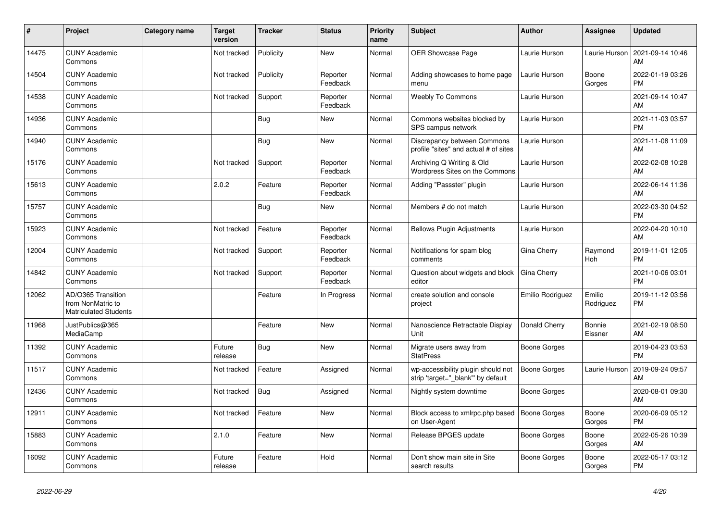| #     | Project                                                                 | <b>Category name</b> | Target<br>version | Tracker    | <b>Status</b>        | <b>Priority</b><br>name | <b>Subject</b>                                                          | Author              | <b>Assignee</b>     | <b>Updated</b>                |
|-------|-------------------------------------------------------------------------|----------------------|-------------------|------------|----------------------|-------------------------|-------------------------------------------------------------------------|---------------------|---------------------|-------------------------------|
| 14475 | <b>CUNY Academic</b><br>Commons                                         |                      | Not tracked       | Publicity  | <b>New</b>           | Normal                  | <b>OER Showcase Page</b>                                                | Laurie Hurson       | Laurie Hurson       | 2021-09-14 10:46<br>AM        |
| 14504 | <b>CUNY Academic</b><br>Commons                                         |                      | Not tracked       | Publicity  | Reporter<br>Feedback | Normal                  | Adding showcases to home page<br>menu                                   | Laurie Hurson       | Boone<br>Gorges     | 2022-01-19 03:26<br><b>PM</b> |
| 14538 | <b>CUNY Academic</b><br>Commons                                         |                      | Not tracked       | Support    | Reporter<br>Feedback | Normal                  | <b>Weebly To Commons</b>                                                | Laurie Hurson       |                     | 2021-09-14 10:47<br>AM        |
| 14936 | <b>CUNY Academic</b><br>Commons                                         |                      |                   | <b>Bug</b> | <b>New</b>           | Normal                  | Commons websites blocked by<br>SPS campus network                       | Laurie Hurson       |                     | 2021-11-03 03:57<br><b>PM</b> |
| 14940 | <b>CUNY Academic</b><br>Commons                                         |                      |                   | Bug        | <b>New</b>           | Normal                  | Discrepancy between Commons<br>profile "sites" and actual # of sites    | Laurie Hurson       |                     | 2021-11-08 11:09<br>AM        |
| 15176 | <b>CUNY Academic</b><br>Commons                                         |                      | Not tracked       | Support    | Reporter<br>Feedback | Normal                  | Archiving Q Writing & Old<br>Wordpress Sites on the Commons             | Laurie Hurson       |                     | 2022-02-08 10:28<br>AM        |
| 15613 | <b>CUNY Academic</b><br>Commons                                         |                      | 2.0.2             | Feature    | Reporter<br>Feedback | Normal                  | Adding "Passster" plugin                                                | Laurie Hurson       |                     | 2022-06-14 11:36<br>AM        |
| 15757 | <b>CUNY Academic</b><br>Commons                                         |                      |                   | Bug        | <b>New</b>           | Normal                  | Members # do not match                                                  | Laurie Hurson       |                     | 2022-03-30 04:52<br><b>PM</b> |
| 15923 | <b>CUNY Academic</b><br>Commons                                         |                      | Not tracked       | Feature    | Reporter<br>Feedback | Normal                  | <b>Bellows Plugin Adjustments</b>                                       | Laurie Hurson       |                     | 2022-04-20 10:10<br>AM        |
| 12004 | <b>CUNY Academic</b><br>Commons                                         |                      | Not tracked       | Support    | Reporter<br>Feedback | Normal                  | Notifications for spam blog<br>comments                                 | Gina Cherry         | Raymond<br>Hoh      | 2019-11-01 12:05<br><b>PM</b> |
| 14842 | <b>CUNY Academic</b><br>Commons                                         |                      | Not tracked       | Support    | Reporter<br>Feedback | Normal                  | Question about widgets and block<br>editor                              | Gina Cherry         |                     | 2021-10-06 03:01<br><b>PM</b> |
| 12062 | AD/O365 Transition<br>from NonMatric to<br><b>Matriculated Students</b> |                      |                   | Feature    | In Progress          | Normal                  | create solution and console<br>project                                  | Emilio Rodriguez    | Emilio<br>Rodriguez | 2019-11-12 03:56<br><b>PM</b> |
| 11968 | JustPublics@365<br>MediaCamp                                            |                      |                   | Feature    | New                  | Normal                  | Nanoscience Retractable Display<br>Unit                                 | Donald Cherry       | Bonnie<br>Eissner   | 2021-02-19 08:50<br>AM        |
| 11392 | <b>CUNY Academic</b><br>Commons                                         |                      | Future<br>release | <b>Bug</b> | <b>New</b>           | Normal                  | Migrate users away from<br><b>StatPress</b>                             | Boone Gorges        |                     | 2019-04-23 03:53<br><b>PM</b> |
| 11517 | <b>CUNY Academic</b><br>Commons                                         |                      | Not tracked       | Feature    | Assigned             | Normal                  | wp-accessibility plugin should not<br>strip 'target=" blank" by default | <b>Boone Gorges</b> | Laurie Hurson       | 2019-09-24 09:57<br>AM        |
| 12436 | <b>CUNY Academic</b><br>Commons                                         |                      | Not tracked       | <b>Bug</b> | Assigned             | Normal                  | Nightly system downtime                                                 | <b>Boone Gorges</b> |                     | 2020-08-01 09:30<br>AM        |
| 12911 | <b>CUNY Academic</b><br>Commons                                         |                      | Not tracked       | Feature    | <b>New</b>           | Normal                  | Block access to xmlrpc.php based<br>on User-Agent                       | <b>Boone Gorges</b> | Boone<br>Gorges     | 2020-06-09 05:12<br><b>PM</b> |
| 15883 | <b>CUNY Academic</b><br>Commons                                         |                      | 2.1.0             | Feature    | <b>New</b>           | Normal                  | Release BPGES update                                                    | <b>Boone Gorges</b> | Boone<br>Gorges     | 2022-05-26 10:39<br>AM        |
| 16092 | <b>CUNY Academic</b><br>Commons                                         |                      | Future<br>release | Feature    | Hold                 | Normal                  | Don't show main site in Site<br>search results                          | Boone Gorges        | Boone<br>Gorges     | 2022-05-17 03:12<br><b>PM</b> |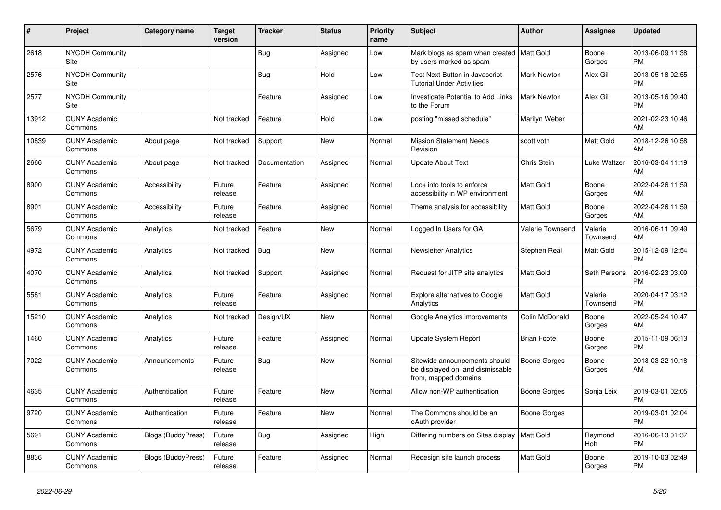| $\pmb{\#}$ | Project                         | Category name             | <b>Target</b><br>version | <b>Tracker</b> | <b>Status</b> | Priority<br>name | <b>Subject</b>                                                                            | <b>Author</b>       | Assignee            | <b>Updated</b>                |
|------------|---------------------------------|---------------------------|--------------------------|----------------|---------------|------------------|-------------------------------------------------------------------------------------------|---------------------|---------------------|-------------------------------|
| 2618       | <b>NYCDH Community</b><br>Site  |                           |                          | <b>Bug</b>     | Assigned      | Low              | Mark blogs as spam when created   Matt Gold<br>by users marked as spam                    |                     | Boone<br>Gorges     | 2013-06-09 11:38<br><b>PM</b> |
| 2576       | <b>NYCDH Community</b><br>Site  |                           |                          | <b>Bug</b>     | Hold          | Low              | Test Next Button in Javascript<br><b>Tutorial Under Activities</b>                        | <b>Mark Newton</b>  | Alex Gil            | 2013-05-18 02:55<br><b>PM</b> |
| 2577       | <b>NYCDH Community</b><br>Site  |                           |                          | Feature        | Assigned      | Low              | <b>Investigate Potential to Add Links</b><br>to the Forum                                 | Mark Newton         | Alex Gil            | 2013-05-16 09:40<br><b>PM</b> |
| 13912      | <b>CUNY Academic</b><br>Commons |                           | Not tracked              | Feature        | Hold          | Low              | posting "missed schedule"                                                                 | Marilyn Weber       |                     | 2021-02-23 10:46<br>AM        |
| 10839      | <b>CUNY Academic</b><br>Commons | About page                | Not tracked              | Support        | <b>New</b>    | Normal           | <b>Mission Statement Needs</b><br>Revision                                                | scott voth          | <b>Matt Gold</b>    | 2018-12-26 10:58<br>AM        |
| 2666       | <b>CUNY Academic</b><br>Commons | About page                | Not tracked              | Documentation  | Assigned      | Normal           | <b>Update About Text</b>                                                                  | Chris Stein         | Luke Waltzer        | 2016-03-04 11:19<br>AM        |
| 8900       | <b>CUNY Academic</b><br>Commons | Accessibility             | Future<br>release        | Feature        | Assigned      | Normal           | Look into tools to enforce<br>accessibility in WP environment                             | <b>Matt Gold</b>    | Boone<br>Gorges     | 2022-04-26 11:59<br>AM        |
| 8901       | <b>CUNY Academic</b><br>Commons | Accessibility             | Future<br>release        | Feature        | Assigned      | Normal           | Theme analysis for accessibility                                                          | Matt Gold           | Boone<br>Gorges     | 2022-04-26 11:59<br>AM        |
| 5679       | <b>CUNY Academic</b><br>Commons | Analytics                 | Not tracked              | Feature        | New           | Normal           | Logged In Users for GA                                                                    | Valerie Townsend    | Valerie<br>Townsend | 2016-06-11 09:49<br>AM        |
| 4972       | <b>CUNY Academic</b><br>Commons | Analytics                 | Not tracked              | Bug            | <b>New</b>    | Normal           | <b>Newsletter Analytics</b>                                                               | Stephen Real        | Matt Gold           | 2015-12-09 12:54<br><b>PM</b> |
| 4070       | <b>CUNY Academic</b><br>Commons | Analytics                 | Not tracked              | Support        | Assigned      | Normal           | Request for JITP site analytics                                                           | Matt Gold           | Seth Persons        | 2016-02-23 03:09<br><b>PM</b> |
| 5581       | <b>CUNY Academic</b><br>Commons | Analytics                 | Future<br>release        | Feature        | Assigned      | Normal           | <b>Explore alternatives to Google</b><br>Analytics                                        | Matt Gold           | Valerie<br>Townsend | 2020-04-17 03:12<br><b>PM</b> |
| 15210      | <b>CUNY Academic</b><br>Commons | Analytics                 | Not tracked              | Design/UX      | New           | Normal           | Google Analytics improvements                                                             | Colin McDonald      | Boone<br>Gorges     | 2022-05-24 10:47<br>AM        |
| 1460       | <b>CUNY Academic</b><br>Commons | Analytics                 | Future<br>release        | Feature        | Assigned      | Normal           | Update System Report                                                                      | <b>Brian Foote</b>  | Boone<br>Gorges     | 2015-11-09 06:13<br><b>PM</b> |
| 7022       | <b>CUNY Academic</b><br>Commons | Announcements             | Future<br>release        | <b>Bug</b>     | <b>New</b>    | Normal           | Sitewide announcements should<br>be displayed on, and dismissable<br>from, mapped domains | Boone Gorges        | Boone<br>Gorges     | 2018-03-22 10:18<br>AM        |
| 4635       | <b>CUNY Academic</b><br>Commons | Authentication            | Future<br>release        | Feature        | <b>New</b>    | Normal           | Allow non-WP authentication                                                               | <b>Boone Gorges</b> | Sonja Leix          | 2019-03-01 02:05<br><b>PM</b> |
| 9720       | <b>CUNY Academic</b><br>Commons | Authentication            | Future<br>release        | Feature        | <b>New</b>    | Normal           | The Commons should be an<br>oAuth provider                                                | Boone Gorges        |                     | 2019-03-01 02:04<br><b>PM</b> |
| 5691       | <b>CUNY Academic</b><br>Commons | <b>Blogs (BuddyPress)</b> | Future<br>release        | <b>Bug</b>     | Assigned      | High             | Differing numbers on Sites display   Matt Gold                                            |                     | Raymond<br>Hoh      | 2016-06-13 01:37<br><b>PM</b> |
| 8836       | <b>CUNY Academic</b><br>Commons | <b>Blogs (BuddyPress)</b> | Future<br>release        | Feature        | Assigned      | Normal           | Redesign site launch process                                                              | Matt Gold           | Boone<br>Gorges     | 2019-10-03 02:49<br><b>PM</b> |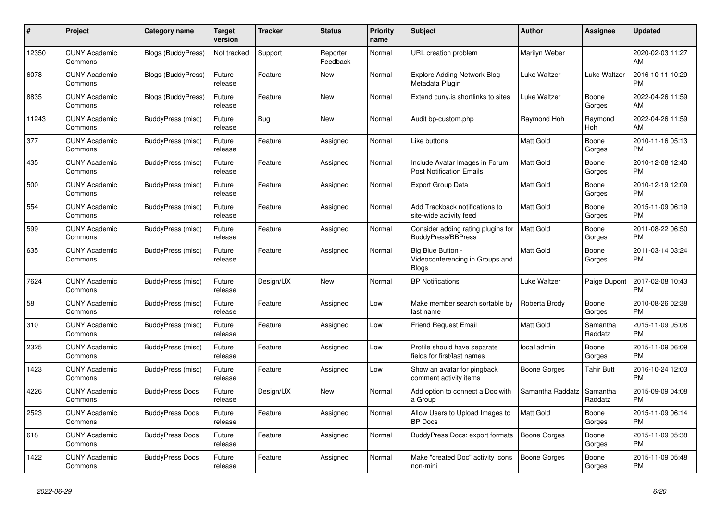| #     | Project                         | Category name             | Target<br>version | <b>Tracker</b> | <b>Status</b>        | <b>Priority</b><br>name | <b>Subject</b>                                                       | Author              | Assignee            | <b>Updated</b>                |
|-------|---------------------------------|---------------------------|-------------------|----------------|----------------------|-------------------------|----------------------------------------------------------------------|---------------------|---------------------|-------------------------------|
| 12350 | <b>CUNY Academic</b><br>Commons | Blogs (BuddyPress)        | Not tracked       | Support        | Reporter<br>Feedback | Normal                  | URL creation problem                                                 | Marilyn Weber       |                     | 2020-02-03 11:27<br>AM        |
| 6078  | <b>CUNY Academic</b><br>Commons | <b>Blogs (BuddyPress)</b> | Future<br>release | Feature        | New                  | Normal                  | <b>Explore Adding Network Blog</b><br>Metadata Plugin                | Luke Waltzer        | Luke Waltzer        | 2016-10-11 10:29<br><b>PM</b> |
| 8835  | <b>CUNY Academic</b><br>Commons | Blogs (BuddyPress)        | Future<br>release | Feature        | <b>New</b>           | Normal                  | Extend cuny.is shortlinks to sites                                   | Luke Waltzer        | Boone<br>Gorges     | 2022-04-26 11:59<br>AM        |
| 11243 | <b>CUNY Academic</b><br>Commons | BuddyPress (misc)         | Future<br>release | <b>Bug</b>     | <b>New</b>           | Normal                  | Audit bp-custom.php                                                  | Raymond Hoh         | Raymond<br>Hoh      | 2022-04-26 11:59<br>AM        |
| 377   | <b>CUNY Academic</b><br>Commons | BuddyPress (misc)         | Future<br>release | Feature        | Assigned             | Normal                  | Like buttons                                                         | <b>Matt Gold</b>    | Boone<br>Gorges     | 2010-11-16 05:13<br><b>PM</b> |
| 435   | <b>CUNY Academic</b><br>Commons | BuddyPress (misc)         | Future<br>release | Feature        | Assigned             | Normal                  | Include Avatar Images in Forum<br><b>Post Notification Emails</b>    | <b>Matt Gold</b>    | Boone<br>Gorges     | 2010-12-08 12:40<br><b>PM</b> |
| 500   | <b>CUNY Academic</b><br>Commons | BuddyPress (misc)         | Future<br>release | Feature        | Assigned             | Normal                  | <b>Export Group Data</b>                                             | <b>Matt Gold</b>    | Boone<br>Gorges     | 2010-12-19 12:09<br><b>PM</b> |
| 554   | <b>CUNY Academic</b><br>Commons | BuddyPress (misc)         | Future<br>release | Feature        | Assigned             | Normal                  | Add Trackback notifications to<br>site-wide activity feed            | <b>Matt Gold</b>    | Boone<br>Gorges     | 2015-11-09 06:19<br><b>PM</b> |
| 599   | <b>CUNY Academic</b><br>Commons | BuddyPress (misc)         | Future<br>release | Feature        | Assigned             | Normal                  | Consider adding rating plugins for<br>BuddyPress/BBPress             | <b>Matt Gold</b>    | Boone<br>Gorges     | 2011-08-22 06:50<br><b>PM</b> |
| 635   | <b>CUNY Academic</b><br>Commons | BuddyPress (misc)         | Future<br>release | Feature        | Assigned             | Normal                  | Big Blue Button -<br>Videoconferencing in Groups and<br><b>Blogs</b> | <b>Matt Gold</b>    | Boone<br>Gorges     | 2011-03-14 03:24<br><b>PM</b> |
| 7624  | <b>CUNY Academic</b><br>Commons | <b>BuddyPress (misc)</b>  | Future<br>release | Design/UX      | New                  | Normal                  | <b>BP</b> Notifications                                              | Luke Waltzer        | Paige Dupont        | 2017-02-08 10:43<br><b>PM</b> |
| 58    | <b>CUNY Academic</b><br>Commons | BuddyPress (misc)         | Future<br>release | Feature        | Assigned             | Low                     | Make member search sortable by<br>last name                          | Roberta Brody       | Boone<br>Gorges     | 2010-08-26 02:38<br><b>PM</b> |
| 310   | <b>CUNY Academic</b><br>Commons | BuddyPress (misc)         | Future<br>release | Feature        | Assigned             | Low                     | Friend Request Email                                                 | <b>Matt Gold</b>    | Samantha<br>Raddatz | 2015-11-09 05:08<br><b>PM</b> |
| 2325  | <b>CUNY Academic</b><br>Commons | BuddyPress (misc)         | Future<br>release | Feature        | Assigned             | Low                     | Profile should have separate<br>fields for first/last names          | local admin         | Boone<br>Gorges     | 2015-11-09 06:09<br><b>PM</b> |
| 1423  | <b>CUNY Academic</b><br>Commons | BuddyPress (misc)         | Future<br>release | Feature        | Assigned             | Low                     | Show an avatar for pingback<br>comment activity items                | Boone Gorges        | <b>Tahir Butt</b>   | 2016-10-24 12:03<br><b>PM</b> |
| 4226  | <b>CUNY Academic</b><br>Commons | <b>BuddyPress Docs</b>    | Future<br>release | Design/UX      | New                  | Normal                  | Add option to connect a Doc with<br>a Group                          | Samantha Raddatz    | Samantha<br>Raddatz | 2015-09-09 04:08<br><b>PM</b> |
| 2523  | <b>CUNY Academic</b><br>Commons | <b>BuddyPress Docs</b>    | Future<br>release | Feature        | Assigned             | Normal                  | Allow Users to Upload Images to<br><b>BP</b> Docs                    | <b>Matt Gold</b>    | Boone<br>Gorges     | 2015-11-09 06:14<br><b>PM</b> |
| 618   | <b>CUNY Academic</b><br>Commons | <b>BuddyPress Docs</b>    | Future<br>release | Feature        | Assigned             | Normal                  | BuddyPress Docs: export formats                                      | <b>Boone Gorges</b> | Boone<br>Gorges     | 2015-11-09 05:38<br><b>PM</b> |
| 1422  | <b>CUNY Academic</b><br>Commons | <b>BuddyPress Docs</b>    | Future<br>release | Feature        | Assigned             | Normal                  | Make "created Doc" activity icons<br>non-mini                        | <b>Boone Gorges</b> | Boone<br>Gorges     | 2015-11-09 05:48<br><b>PM</b> |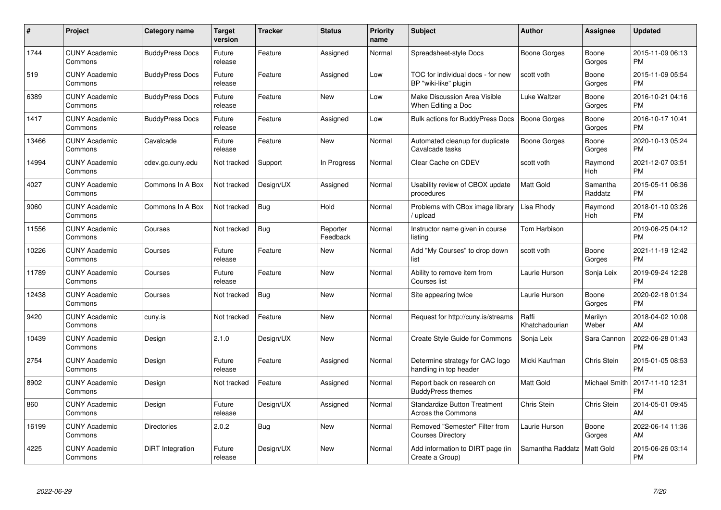| $\#$  | Project                         | <b>Category name</b>   | Target<br>version | <b>Tracker</b> | <b>Status</b>        | <b>Priority</b><br>name | <b>Subject</b>                                             | Author                  | <b>Assignee</b>       | <b>Updated</b>                |
|-------|---------------------------------|------------------------|-------------------|----------------|----------------------|-------------------------|------------------------------------------------------------|-------------------------|-----------------------|-------------------------------|
| 1744  | <b>CUNY Academic</b><br>Commons | <b>BuddyPress Docs</b> | Future<br>release | Feature        | Assigned             | Normal                  | Spreadsheet-style Docs                                     | Boone Gorges            | Boone<br>Gorges       | 2015-11-09 06:13<br><b>PM</b> |
| 519   | <b>CUNY Academic</b><br>Commons | <b>BuddyPress Docs</b> | Future<br>release | Feature        | Assigned             | Low                     | TOC for individual docs - for new<br>BP "wiki-like" plugin | scott voth              | Boone<br>Gorges       | 2015-11-09 05:54<br><b>PM</b> |
| 6389  | <b>CUNY Academic</b><br>Commons | <b>BuddyPress Docs</b> | Future<br>release | Feature        | <b>New</b>           | Low                     | Make Discussion Area Visible<br>When Editing a Doc         | <b>Luke Waltzer</b>     | Boone<br>Gorges       | 2016-10-21 04:16<br><b>PM</b> |
| 1417  | <b>CUNY Academic</b><br>Commons | <b>BuddyPress Docs</b> | Future<br>release | Feature        | Assigned             | Low                     | <b>Bulk actions for BuddyPress Docs</b>                    | <b>Boone Gorges</b>     | Boone<br>Gorges       | 2016-10-17 10:41<br><b>PM</b> |
| 13466 | <b>CUNY Academic</b><br>Commons | Cavalcade              | Future<br>release | Feature        | <b>New</b>           | Normal                  | Automated cleanup for duplicate<br>Cavalcade tasks         | <b>Boone Gorges</b>     | Boone<br>Gorges       | 2020-10-13 05:24<br><b>PM</b> |
| 14994 | <b>CUNY Academic</b><br>Commons | cdev.gc.cuny.edu       | Not tracked       | Support        | In Progress          | Normal                  | Clear Cache on CDEV                                        | scott voth              | Raymond<br><b>Hoh</b> | 2021-12-07 03:51<br><b>PM</b> |
| 4027  | <b>CUNY Academic</b><br>Commons | Commons In A Box       | Not tracked       | Design/UX      | Assigned             | Normal                  | Usability review of CBOX update<br>procedures              | <b>Matt Gold</b>        | Samantha<br>Raddatz   | 2015-05-11 06:36<br><b>PM</b> |
| 9060  | <b>CUNY Academic</b><br>Commons | Commons In A Box       | Not tracked       | Bug            | Hold                 | Normal                  | Problems with CBox image library<br>upload                 | Lisa Rhody              | Raymond<br>Hoh        | 2018-01-10 03:26<br><b>PM</b> |
| 11556 | <b>CUNY Academic</b><br>Commons | Courses                | Not tracked       | Bug            | Reporter<br>Feedback | Normal                  | Instructor name given in course<br>listing                 | Tom Harbison            |                       | 2019-06-25 04:12<br><b>PM</b> |
| 10226 | <b>CUNY Academic</b><br>Commons | Courses                | Future<br>release | Feature        | <b>New</b>           | Normal                  | Add "My Courses" to drop down<br>list                      | scott voth              | Boone<br>Gorges       | 2021-11-19 12:42<br><b>PM</b> |
| 11789 | <b>CUNY Academic</b><br>Commons | Courses                | Future<br>release | Feature        | <b>New</b>           | Normal                  | Ability to remove item from<br>Courses list                | Laurie Hurson           | Sonja Leix            | 2019-09-24 12:28<br><b>PM</b> |
| 12438 | <b>CUNY Academic</b><br>Commons | Courses                | Not tracked       | Bug            | <b>New</b>           | Normal                  | Site appearing twice                                       | Laurie Hurson           | Boone<br>Gorges       | 2020-02-18 01:34<br><b>PM</b> |
| 9420  | <b>CUNY Academic</b><br>Commons | cuny.is                | Not tracked       | Feature        | <b>New</b>           | Normal                  | Request for http://cuny.is/streams                         | Raffi<br>Khatchadourian | Marilyn<br>Weber      | 2018-04-02 10:08<br>AM        |
| 10439 | <b>CUNY Academic</b><br>Commons | Design                 | 2.1.0             | Design/UX      | <b>New</b>           | Normal                  | Create Style Guide for Commons                             | Sonja Leix              | Sara Cannon           | 2022-06-28 01:43<br>PM        |
| 2754  | <b>CUNY Academic</b><br>Commons | Design                 | Future<br>release | Feature        | Assigned             | Normal                  | Determine strategy for CAC logo<br>handling in top header  | Micki Kaufman           | Chris Stein           | 2015-01-05 08:53<br><b>PM</b> |
| 8902  | <b>CUNY Academic</b><br>Commons | Design                 | Not tracked       | Feature        | Assigned             | Normal                  | Report back on research on<br><b>BuddyPress themes</b>     | <b>Matt Gold</b>        | Michael Smith         | 2017-11-10 12:31<br><b>PM</b> |
| 860   | <b>CUNY Academic</b><br>Commons | Design                 | Future<br>release | Design/UX      | Assigned             | Normal                  | <b>Standardize Button Treatment</b><br>Across the Commons  | Chris Stein             | Chris Stein           | 2014-05-01 09:45<br>AM        |
| 16199 | <b>CUNY Academic</b><br>Commons | <b>Directories</b>     | 2.0.2             | Bug            | <b>New</b>           | Normal                  | Removed "Semester" Filter from<br><b>Courses Directory</b> | Laurie Hurson           | Boone<br>Gorges       | 2022-06-14 11:36<br>AM        |
| 4225  | <b>CUNY Academic</b><br>Commons | DiRT Integration       | Future<br>release | Design/UX      | <b>New</b>           | Normal                  | Add information to DIRT page (in<br>Create a Group)        | Samantha Raddatz        | <b>Matt Gold</b>      | 2015-06-26 03:14<br><b>PM</b> |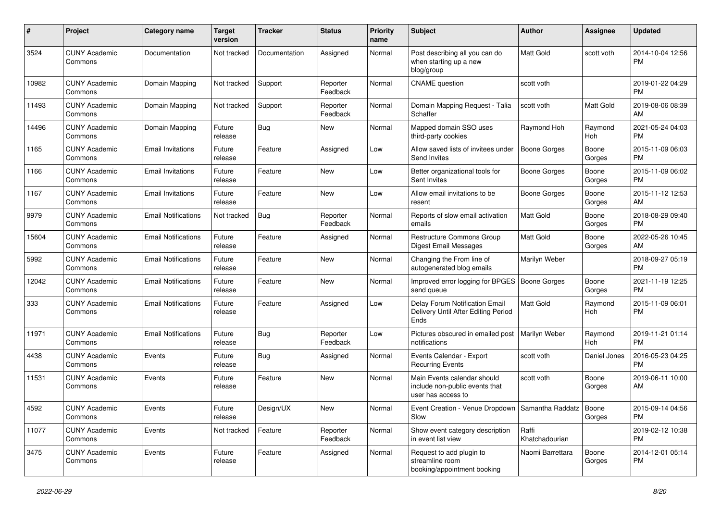| #     | Project                         | <b>Category name</b>       | <b>Target</b><br>version | <b>Tracker</b> | <b>Status</b>        | <b>Priority</b><br>name | Subject                                                                             | <b>Author</b>           | <b>Assignee</b>  | <b>Updated</b>                |
|-------|---------------------------------|----------------------------|--------------------------|----------------|----------------------|-------------------------|-------------------------------------------------------------------------------------|-------------------------|------------------|-------------------------------|
| 3524  | <b>CUNY Academic</b><br>Commons | Documentation              | Not tracked              | Documentation  | Assigned             | Normal                  | Post describing all you can do<br>when starting up a new<br>blog/group              | <b>Matt Gold</b>        | scott voth       | 2014-10-04 12:56<br>РM        |
| 10982 | <b>CUNY Academic</b><br>Commons | Domain Mapping             | Not tracked              | Support        | Reporter<br>Feedback | Normal                  | <b>CNAME</b> question                                                               | scott voth              |                  | 2019-01-22 04:29<br><b>PM</b> |
| 11493 | <b>CUNY Academic</b><br>Commons | Domain Mapping             | Not tracked              | Support        | Reporter<br>Feedback | Normal                  | Domain Mapping Request - Talia<br>Schaffer                                          | scott voth              | <b>Matt Gold</b> | 2019-08-06 08:39<br>AM        |
| 14496 | <b>CUNY Academic</b><br>Commons | Domain Mapping             | Future<br>release        | Bug            | New                  | Normal                  | Mapped domain SSO uses<br>third-party cookies                                       | Raymond Hoh             | Raymond<br>Hoh   | 2021-05-24 04:03<br><b>PM</b> |
| 1165  | <b>CUNY Academic</b><br>Commons | <b>Email Invitations</b>   | Future<br>release        | Feature        | Assigned             | Low                     | Allow saved lists of invitees under<br>Send Invites                                 | Boone Gorges            | Boone<br>Gorges  | 2015-11-09 06:03<br><b>PM</b> |
| 1166  | <b>CUNY Academic</b><br>Commons | <b>Email Invitations</b>   | Future<br>release        | Feature        | New                  | Low                     | Better organizational tools for<br>Sent Invites                                     | Boone Gorges            | Boone<br>Gorges  | 2015-11-09 06:02<br><b>PM</b> |
| 1167  | <b>CUNY Academic</b><br>Commons | <b>Email Invitations</b>   | Future<br>release        | Feature        | New                  | Low                     | Allow email invitations to be<br>resent                                             | <b>Boone Gorges</b>     | Boone<br>Gorges  | 2015-11-12 12:53<br>AM        |
| 9979  | <b>CUNY Academic</b><br>Commons | <b>Email Notifications</b> | Not tracked              | <b>Bug</b>     | Reporter<br>Feedback | Normal                  | Reports of slow email activation<br>emails                                          | <b>Matt Gold</b>        | Boone<br>Gorges  | 2018-08-29 09:40<br><b>PM</b> |
| 15604 | <b>CUNY Academic</b><br>Commons | <b>Email Notifications</b> | Future<br>release        | Feature        | Assigned             | Normal                  | Restructure Commons Group<br>Digest Email Messages                                  | <b>Matt Gold</b>        | Boone<br>Gorges  | 2022-05-26 10:45<br>AM        |
| 5992  | <b>CUNY Academic</b><br>Commons | <b>Email Notifications</b> | Future<br>release        | Feature        | New                  | Normal                  | Changing the From line of<br>autogenerated blog emails                              | Marilyn Weber           |                  | 2018-09-27 05:19<br><b>PM</b> |
| 12042 | <b>CUNY Academic</b><br>Commons | <b>Email Notifications</b> | Future<br>release        | Feature        | <b>New</b>           | Normal                  | Improved error logging for BPGES<br>send queue                                      | <b>Boone Gorges</b>     | Boone<br>Gorges  | 2021-11-19 12:25<br><b>PM</b> |
| 333   | <b>CUNY Academic</b><br>Commons | <b>Email Notifications</b> | Future<br>release        | Feature        | Assigned             | Low                     | Delay Forum Notification Email<br>Delivery Until After Editing Period<br>Ends       | <b>Matt Gold</b>        | Raymond<br>Hoh   | 2015-11-09 06:01<br><b>PM</b> |
| 11971 | <b>CUNY Academic</b><br>Commons | <b>Email Notifications</b> | Future<br>release        | <b>Bug</b>     | Reporter<br>Feedback | Low                     | Pictures obscured in emailed post<br>notifications                                  | Marilyn Weber           | Raymond<br>Hoh   | 2019-11-21 01:14<br><b>PM</b> |
| 4438  | <b>CUNY Academic</b><br>Commons | Events                     | Future<br>release        | Bug            | Assigned             | Normal                  | Events Calendar - Export<br><b>Recurring Events</b>                                 | scott voth              | Daniel Jones     | 2016-05-23 04:25<br><b>PM</b> |
| 11531 | <b>CUNY Academic</b><br>Commons | Events                     | Future<br>release        | Feature        | New                  | Normal                  | Main Events calendar should<br>include non-public events that<br>user has access to | scott voth              | Boone<br>Gorges  | 2019-06-11 10:00<br>AM        |
| 4592  | <b>CUNY Academic</b><br>Commons | Events                     | Future<br>release        | Design/UX      | New                  | Normal                  | Event Creation - Venue Dropdown   Samantha Raddatz<br>Slow                          |                         | Boone<br>Gorges  | 2015-09-14 04:56<br><b>PM</b> |
| 11077 | <b>CUNY Academic</b><br>Commons | Events                     | Not tracked              | Feature        | Reporter<br>Feedback | Normal                  | Show event category description<br>in event list view                               | Raffi<br>Khatchadourian |                  | 2019-02-12 10:38<br><b>PM</b> |
| 3475  | <b>CUNY Academic</b><br>Commons | Events                     | Future<br>release        | Feature        | Assigned             | Normal                  | Request to add plugin to<br>streamline room<br>booking/appointment booking          | Naomi Barrettara        | Boone<br>Gorges  | 2014-12-01 05:14<br><b>PM</b> |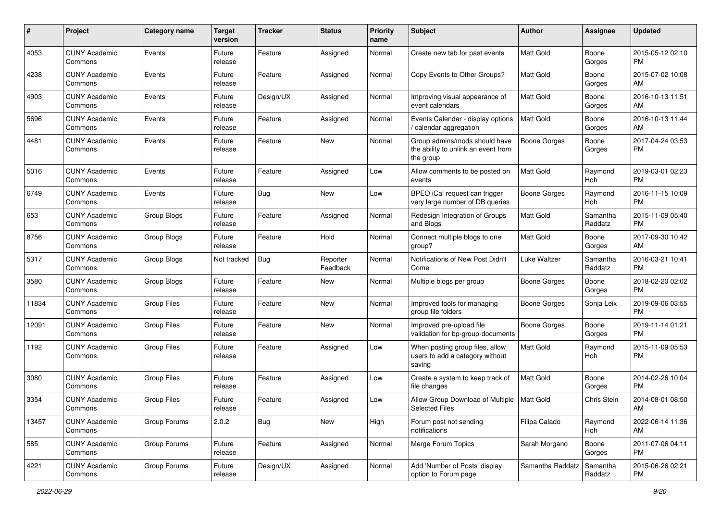| #     | Project                         | <b>Category name</b> | <b>Target</b><br>version | <b>Tracker</b> | <b>Status</b>        | <b>Priority</b><br>name | Subject                                                                           | Author              | <b>Assignee</b>     | <b>Updated</b>                |
|-------|---------------------------------|----------------------|--------------------------|----------------|----------------------|-------------------------|-----------------------------------------------------------------------------------|---------------------|---------------------|-------------------------------|
| 4053  | <b>CUNY Academic</b><br>Commons | Events               | Future<br>release        | Feature        | Assigned             | Normal                  | Create new tab for past events                                                    | <b>Matt Gold</b>    | Boone<br>Gorges     | 2015-05-12 02:10<br>PM        |
| 4238  | <b>CUNY Academic</b><br>Commons | Events               | Future<br>release        | Feature        | Assigned             | Normal                  | Copy Events to Other Groups?                                                      | <b>Matt Gold</b>    | Boone<br>Gorges     | 2015-07-02 10:08<br>AM        |
| 4903  | <b>CUNY Academic</b><br>Commons | Events               | Future<br>release        | Design/UX      | Assigned             | Normal                  | Improving visual appearance of<br>event calendars                                 | <b>Matt Gold</b>    | Boone<br>Gorges     | 2016-10-13 11:51<br>AM        |
| 5696  | <b>CUNY Academic</b><br>Commons | Events               | Future<br>release        | Feature        | Assigned             | Normal                  | Events Calendar - display options<br>calendar aggregation                         | <b>Matt Gold</b>    | Boone<br>Gorges     | 2016-10-13 11:44<br>AM        |
| 4481  | <b>CUNY Academic</b><br>Commons | Events               | Future<br>release        | Feature        | New                  | Normal                  | Group admins/mods should have<br>the ability to unlink an event from<br>the group | Boone Gorges        | Boone<br>Gorges     | 2017-04-24 03:53<br><b>PM</b> |
| 5016  | <b>CUNY Academic</b><br>Commons | Events               | Future<br>release        | Feature        | Assigned             | Low                     | Allow comments to be posted on<br>events                                          | <b>Matt Gold</b>    | Raymond<br>Hoh      | 2019-03-01 02:23<br><b>PM</b> |
| 6749  | <b>CUNY Academic</b><br>Commons | Events               | Future<br>release        | <b>Bug</b>     | New                  | Low                     | BPEO iCal request can trigger<br>very large number of DB queries                  | <b>Boone Gorges</b> | Raymond<br>Hoh      | 2016-11-15 10:09<br>PM        |
| 653   | <b>CUNY Academic</b><br>Commons | Group Blogs          | Future<br>release        | Feature        | Assigned             | Normal                  | Redesign Integration of Groups<br>and Blogs                                       | Matt Gold           | Samantha<br>Raddatz | 2015-11-09 05:40<br><b>PM</b> |
| 8756  | <b>CUNY Academic</b><br>Commons | Group Blogs          | Future<br>release        | Feature        | Hold                 | Normal                  | Connect multiple blogs to one<br>group?                                           | <b>Matt Gold</b>    | Boone<br>Gorges     | 2017-09-30 10:42<br>AM        |
| 5317  | <b>CUNY Academic</b><br>Commons | Group Blogs          | Not tracked              | Bug            | Reporter<br>Feedback | Normal                  | Notifications of New Post Didn't<br>Come                                          | <b>Luke Waltzer</b> | Samantha<br>Raddatz | 2016-03-21 10:41<br><b>PM</b> |
| 3580  | <b>CUNY Academic</b><br>Commons | Group Blogs          | Future<br>release        | Feature        | New                  | Normal                  | Multiple blogs per group                                                          | <b>Boone Gorges</b> | Boone<br>Gorges     | 2018-02-20 02:02<br><b>PM</b> |
| 11834 | <b>CUNY Academic</b><br>Commons | <b>Group Files</b>   | Future<br>release        | Feature        | <b>New</b>           | Normal                  | Improved tools for managing<br>group file folders                                 | Boone Gorges        | Sonja Leix          | 2019-09-06 03:55<br><b>PM</b> |
| 12091 | <b>CUNY Academic</b><br>Commons | <b>Group Files</b>   | Future<br>release        | Feature        | New                  | Normal                  | Improved pre-upload file<br>validation for bp-group-documents                     | Boone Gorges        | Boone<br>Gorges     | 2019-11-14 01:21<br><b>PM</b> |
| 1192  | <b>CUNY Academic</b><br>Commons | Group Files          | Future<br>release        | Feature        | Assigned             | Low                     | When posting group files, allow<br>users to add a category without<br>saving      | <b>Matt Gold</b>    | Raymond<br>Hoh      | 2015-11-09 05:53<br>PM        |
| 3080  | <b>CUNY Academic</b><br>Commons | <b>Group Files</b>   | Future<br>release        | Feature        | Assigned             | Low                     | Create a system to keep track of<br>file changes                                  | Matt Gold           | Boone<br>Gorges     | 2014-02-26 10:04<br><b>PM</b> |
| 3354  | <b>CUNY Academic</b><br>Commons | Group Files          | Future<br>release        | Feature        | Assigned             | Low                     | Allow Group Download of Multiple<br><b>Selected Files</b>                         | <b>Matt Gold</b>    | Chris Stein         | 2014-08-01 08:50<br>AM        |
| 13457 | <b>CUNY Academic</b><br>Commons | Group Forums         | 2.0.2                    | <b>Bug</b>     | New                  | High                    | Forum post not sending<br>notifications                                           | Filipa Calado       | Raymond<br>Hoh      | 2022-06-14 11:36<br>AM        |
| 585   | <b>CUNY Academic</b><br>Commons | Group Forums         | Future<br>release        | Feature        | Assigned             | Normal                  | Merge Forum Topics                                                                | Sarah Morgano       | Boone<br>Gorges     | 2011-07-06 04:11<br>PM        |
| 4221  | <b>CUNY Academic</b><br>Commons | Group Forums         | Future<br>release        | Design/UX      | Assigned             | Normal                  | Add 'Number of Posts' display<br>option to Forum page                             | Samantha Raddatz    | Samantha<br>Raddatz | 2015-06-26 02:21<br><b>PM</b> |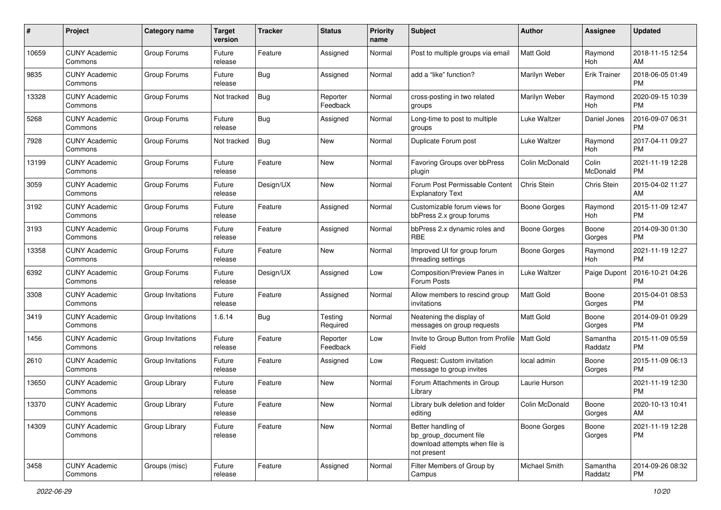| #     | Project                         | <b>Category name</b> | <b>Target</b><br>version | <b>Tracker</b> | <b>Status</b>        | <b>Priority</b><br>name | <b>Subject</b>                                                                                | Author               | <b>Assignee</b>     | <b>Updated</b>                |
|-------|---------------------------------|----------------------|--------------------------|----------------|----------------------|-------------------------|-----------------------------------------------------------------------------------------------|----------------------|---------------------|-------------------------------|
| 10659 | <b>CUNY Academic</b><br>Commons | Group Forums         | Future<br>release        | Feature        | Assigned             | Normal                  | Post to multiple groups via email                                                             | <b>Matt Gold</b>     | Raymond<br>Hoh      | 2018-11-15 12:54<br>AM        |
| 9835  | <b>CUNY Academic</b><br>Commons | Group Forums         | Future<br>release        | <b>Bug</b>     | Assigned             | Normal                  | add a "like" function?                                                                        | Marilyn Weber        | <b>Erik Trainer</b> | 2018-06-05 01:49<br><b>PM</b> |
| 13328 | <b>CUNY Academic</b><br>Commons | Group Forums         | Not tracked              | <b>Bug</b>     | Reporter<br>Feedback | Normal                  | cross-posting in two related<br>groups                                                        | Marilyn Weber        | Raymond<br>Hoh      | 2020-09-15 10:39<br>PM        |
| 5268  | <b>CUNY Academic</b><br>Commons | Group Forums         | Future<br>release        | <b>Bug</b>     | Assigned             | Normal                  | Long-time to post to multiple<br>groups                                                       | Luke Waltzer         | Daniel Jones        | 2016-09-07 06:31<br><b>PM</b> |
| 7928  | <b>CUNY Academic</b><br>Commons | Group Forums         | Not tracked              | <b>Bug</b>     | <b>New</b>           | Normal                  | Duplicate Forum post                                                                          | <b>Luke Waltzer</b>  | Raymond<br>Hoh      | 2017-04-11 09:27<br><b>PM</b> |
| 13199 | <b>CUNY Academic</b><br>Commons | Group Forums         | Future<br>release        | Feature        | <b>New</b>           | Normal                  | Favoring Groups over bbPress<br>plugin                                                        | Colin McDonald       | Colin<br>McDonald   | 2021-11-19 12:28<br><b>PM</b> |
| 3059  | <b>CUNY Academic</b><br>Commons | Group Forums         | Future<br>release        | Design/UX      | New                  | Normal                  | Forum Post Permissable Content<br><b>Explanatory Text</b>                                     | Chris Stein          | Chris Stein         | 2015-04-02 11:27<br>AM        |
| 3192  | <b>CUNY Academic</b><br>Commons | Group Forums         | Future<br>release        | Feature        | Assigned             | Normal                  | Customizable forum views for<br>bbPress 2.x group forums                                      | <b>Boone Gorges</b>  | Raymond<br>Hoh      | 2015-11-09 12:47<br><b>PM</b> |
| 3193  | <b>CUNY Academic</b><br>Commons | Group Forums         | Future<br>release        | Feature        | Assigned             | Normal                  | bbPress 2.x dynamic roles and<br><b>RBE</b>                                                   | <b>Boone Gorges</b>  | Boone<br>Gorges     | 2014-09-30 01:30<br><b>PM</b> |
| 13358 | <b>CUNY Academic</b><br>Commons | Group Forums         | Future<br>release        | Feature        | <b>New</b>           | Normal                  | Improved UI for group forum<br>threading settings                                             | <b>Boone Gorges</b>  | Raymond<br>Hoh      | 2021-11-19 12:27<br><b>PM</b> |
| 6392  | <b>CUNY Academic</b><br>Commons | Group Forums         | Future<br>release        | Design/UX      | Assigned             | Low                     | Composition/Preview Panes in<br>Forum Posts                                                   | <b>Luke Waltzer</b>  | Paige Dupont        | 2016-10-21 04:26<br><b>PM</b> |
| 3308  | <b>CUNY Academic</b><br>Commons | Group Invitations    | Future<br>release        | Feature        | Assigned             | Normal                  | Allow members to rescind group<br>invitations                                                 | <b>Matt Gold</b>     | Boone<br>Gorges     | 2015-04-01 08:53<br><b>PM</b> |
| 3419  | <b>CUNY Academic</b><br>Commons | Group Invitations    | 1.6.14                   | <b>Bug</b>     | Testing<br>Required  | Normal                  | Neatening the display of<br>messages on group requests                                        | <b>Matt Gold</b>     | Boone<br>Gorges     | 2014-09-01 09:29<br><b>PM</b> |
| 1456  | <b>CUNY Academic</b><br>Commons | Group Invitations    | Future<br>release        | Feature        | Reporter<br>Feedback | Low                     | Invite to Group Button from Profile<br>Field                                                  | Matt Gold            | Samantha<br>Raddatz | 2015-11-09 05:59<br><b>PM</b> |
| 2610  | <b>CUNY Academic</b><br>Commons | Group Invitations    | Future<br>release        | Feature        | Assigned             | Low                     | Request: Custom invitation<br>message to group invites                                        | local admin          | Boone<br>Gorges     | 2015-11-09 06:13<br><b>PM</b> |
| 13650 | CUNY Academic<br>Commons        | Group Library        | Future<br>release        | Feature        | <b>New</b>           | Normal                  | Forum Attachments in Group<br>Library                                                         | Laurie Hurson        |                     | 2021-11-19 12:30<br><b>PM</b> |
| 13370 | <b>CUNY Academic</b><br>Commons | Group Library        | Future<br>release        | Feature        | <b>New</b>           | Normal                  | Library bulk deletion and folder<br>editing                                                   | Colin McDonald       | Boone<br>Gorges     | 2020-10-13 10:41<br>AM        |
| 14309 | <b>CUNY Academic</b><br>Commons | Group Library        | Future<br>release        | Feature        | New                  | Normal                  | Better handling of<br>bp_group_document file<br>download attempts when file is<br>not present | <b>Boone Gorges</b>  | Boone<br>Gorges     | 2021-11-19 12:28<br><b>PM</b> |
| 3458  | <b>CUNY Academic</b><br>Commons | Groups (misc)        | Future<br>release        | Feature        | Assigned             | Normal                  | Filter Members of Group by<br>Campus                                                          | <b>Michael Smith</b> | Samantha<br>Raddatz | 2014-09-26 08:32<br>PM        |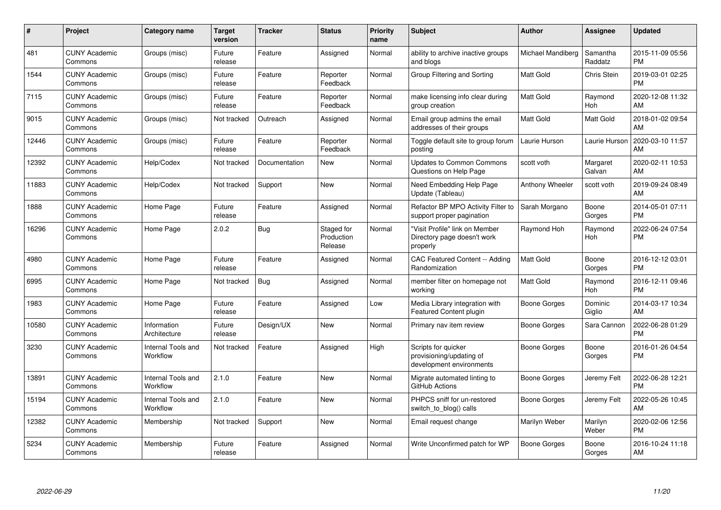| #     | Project                         | <b>Category name</b>           | Target<br>version | <b>Tracker</b> | <b>Status</b>                       | <b>Priority</b><br>name | <b>Subject</b>                                                              | <b>Author</b>       | <b>Assignee</b>     | <b>Updated</b>                |
|-------|---------------------------------|--------------------------------|-------------------|----------------|-------------------------------------|-------------------------|-----------------------------------------------------------------------------|---------------------|---------------------|-------------------------------|
| 481   | <b>CUNY Academic</b><br>Commons | Groups (misc)                  | Future<br>release | Feature        | Assigned                            | Normal                  | ability to archive inactive groups<br>and blogs                             | Michael Mandiberg   | Samantha<br>Raddatz | 2015-11-09 05:56<br><b>PM</b> |
| 1544  | <b>CUNY Academic</b><br>Commons | Groups (misc)                  | Future<br>release | Feature        | Reporter<br>Feedback                | Normal                  | Group Filtering and Sorting                                                 | Matt Gold           | Chris Stein         | 2019-03-01 02:25<br><b>PM</b> |
| 7115  | <b>CUNY Academic</b><br>Commons | Groups (misc)                  | Future<br>release | Feature        | Reporter<br>Feedback                | Normal                  | make licensing info clear during<br>group creation                          | <b>Matt Gold</b>    | Raymond<br>Hoh      | 2020-12-08 11:32<br>AM        |
| 9015  | <b>CUNY Academic</b><br>Commons | Groups (misc)                  | Not tracked       | Outreach       | Assigned                            | Normal                  | Email group admins the email<br>addresses of their groups                   | Matt Gold           | Matt Gold           | 2018-01-02 09:54<br>AM        |
| 12446 | <b>CUNY Academic</b><br>Commons | Groups (misc)                  | Future<br>release | Feature        | Reporter<br>Feedback                | Normal                  | Toggle default site to group forum<br>posting                               | aurie Hurson        | Laurie Hurson       | 2020-03-10 11:57<br>AM        |
| 12392 | <b>CUNY Academic</b><br>Commons | Help/Codex                     | Not tracked       | Documentation  | <b>New</b>                          | Normal                  | <b>Updates to Common Commons</b><br>Questions on Help Page                  | scott voth          | Margaret<br>Galvan  | 2020-02-11 10:53<br>AM        |
| 11883 | <b>CUNY Academic</b><br>Commons | Help/Codex                     | Not tracked       | Support        | <b>New</b>                          | Normal                  | Need Embedding Help Page<br>Update (Tableau)                                | Anthony Wheeler     | scott voth          | 2019-09-24 08:49<br>AM        |
| 1888  | <b>CUNY Academic</b><br>Commons | Home Page                      | Future<br>release | Feature        | Assigned                            | Normal                  | Refactor BP MPO Activity Filter to<br>support proper pagination             | Sarah Morgano       | Boone<br>Gorges     | 2014-05-01 07:11<br><b>PM</b> |
| 16296 | <b>CUNY Academic</b><br>Commons | Home Page                      | 2.0.2             | <b>Bug</b>     | Staged for<br>Production<br>Release | Normal                  | "Visit Profile" link on Member<br>Directory page doesn't work<br>properly   | Raymond Hoh         | Raymond<br>Hoh      | 2022-06-24 07:54<br><b>PM</b> |
| 4980  | <b>CUNY Academic</b><br>Commons | Home Page                      | Future<br>release | Feature        | Assigned                            | Normal                  | CAC Featured Content -- Adding<br>Randomization                             | Matt Gold           | Boone<br>Gorges     | 2016-12-12 03:01<br><b>PM</b> |
| 6995  | <b>CUNY Academic</b><br>Commons | Home Page                      | Not tracked       | Bug            | Assigned                            | Normal                  | member filter on homepage not<br>working                                    | <b>Matt Gold</b>    | Raymond<br>Hoh      | 2016-12-11 09:46<br><b>PM</b> |
| 1983  | <b>CUNY Academic</b><br>Commons | Home Page                      | Future<br>release | Feature        | Assigned                            | Low                     | Media Library integration with<br>Featured Content plugin                   | Boone Gorges        | Dominic<br>Giglio   | 2014-03-17 10:34<br>AM        |
| 10580 | <b>CUNY Academic</b><br>Commons | Information<br>Architecture    | Future<br>release | Design/UX      | <b>New</b>                          | Normal                  | Primary nav item review                                                     | <b>Boone Gorges</b> | Sara Cannon         | 2022-06-28 01:29<br><b>PM</b> |
| 3230  | <b>CUNY Academic</b><br>Commons | Internal Tools and<br>Workflow | Not tracked       | Feature        | Assigned                            | High                    | Scripts for quicker<br>provisioning/updating of<br>development environments | Boone Gorges        | Boone<br>Gorges     | 2016-01-26 04:54<br>PM        |
| 13891 | <b>CUNY Academic</b><br>Commons | Internal Tools and<br>Workflow | 2.1.0             | Feature        | <b>New</b>                          | Normal                  | Migrate automated linting to<br>GitHub Actions                              | Boone Gorges        | Jeremy Felt         | 2022-06-28 12:21<br><b>PM</b> |
| 15194 | <b>CUNY Academic</b><br>Commons | Internal Tools and<br>Workflow | 2.1.0             | Feature        | <b>New</b>                          | Normal                  | PHPCS sniff for un-restored<br>switch_to_blog() calls                       | Boone Gorges        | Jeremy Felt         | 2022-05-26 10:45<br>AM        |
| 12382 | <b>CUNY Academic</b><br>Commons | Membership                     | Not tracked       | Support        | <b>New</b>                          | Normal                  | Email request change                                                        | Marilyn Weber       | Marilyn<br>Weber    | 2020-02-06 12:56<br><b>PM</b> |
| 5234  | <b>CUNY Academic</b><br>Commons | Membership                     | Future<br>release | Feature        | Assigned                            | Normal                  | Write Unconfirmed patch for WP                                              | <b>Boone Gorges</b> | Boone<br>Gorges     | 2016-10-24 11:18<br>AM        |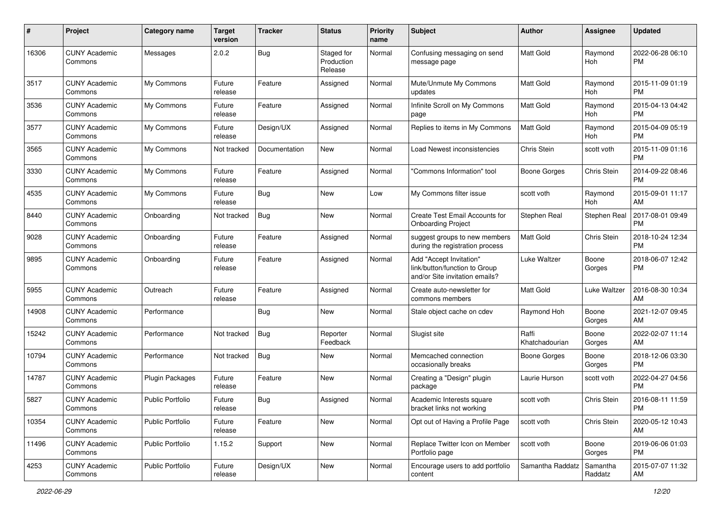| #     | Project                         | <b>Category name</b>    | <b>Target</b><br>version | <b>Tracker</b> | <b>Status</b>                       | <b>Priority</b><br>name | Subject                                                                                    | <b>Author</b>           | <b>Assignee</b>     | <b>Updated</b>                |
|-------|---------------------------------|-------------------------|--------------------------|----------------|-------------------------------------|-------------------------|--------------------------------------------------------------------------------------------|-------------------------|---------------------|-------------------------------|
| 16306 | <b>CUNY Academic</b><br>Commons | Messages                | 2.0.2                    | Bug            | Staged for<br>Production<br>Release | Normal                  | Confusing messaging on send<br>message page                                                | <b>Matt Gold</b>        | Raymond<br>Hoh      | 2022-06-28 06:10<br><b>PM</b> |
| 3517  | <b>CUNY Academic</b><br>Commons | My Commons              | Future<br>release        | Feature        | Assigned                            | Normal                  | Mute/Unmute My Commons<br>updates                                                          | <b>Matt Gold</b>        | Raymond<br>Hoh      | 2015-11-09 01:19<br><b>PM</b> |
| 3536  | <b>CUNY Academic</b><br>Commons | My Commons              | Future<br>release        | Feature        | Assigned                            | Normal                  | Infinite Scroll on My Commons<br>page                                                      | Matt Gold               | Raymond<br>Hoh      | 2015-04-13 04:42<br><b>PM</b> |
| 3577  | <b>CUNY Academic</b><br>Commons | My Commons              | Future<br>release        | Design/UX      | Assigned                            | Normal                  | Replies to items in My Commons                                                             | <b>Matt Gold</b>        | Raymond<br>Hoh      | 2015-04-09 05:19<br><b>PM</b> |
| 3565  | <b>CUNY Academic</b><br>Commons | My Commons              | Not tracked              | Documentation  | New                                 | Normal                  | Load Newest inconsistencies                                                                | <b>Chris Stein</b>      | scott voth          | 2015-11-09 01:16<br><b>PM</b> |
| 3330  | <b>CUNY Academic</b><br>Commons | My Commons              | Future<br>release        | Feature        | Assigned                            | Normal                  | 'Commons Information" tool                                                                 | Boone Gorges            | Chris Stein         | 2014-09-22 08:46<br><b>PM</b> |
| 4535  | <b>CUNY Academic</b><br>Commons | My Commons              | Future<br>release        | <b>Bug</b>     | New                                 | Low                     | My Commons filter issue                                                                    | scott voth              | Raymond<br>Hoh      | 2015-09-01 11:17<br>AM        |
| 8440  | <b>CUNY Academic</b><br>Commons | Onboarding              | Not tracked              | Bug            | New                                 | Normal                  | <b>Create Test Email Accounts for</b><br><b>Onboarding Project</b>                         | Stephen Real            | Stephen Real        | 2017-08-01 09:49<br><b>PM</b> |
| 9028  | <b>CUNY Academic</b><br>Commons | Onboarding              | Future<br>release        | Feature        | Assigned                            | Normal                  | suggest groups to new members<br>during the registration process                           | Matt Gold               | Chris Stein         | 2018-10-24 12:34<br><b>PM</b> |
| 9895  | <b>CUNY Academic</b><br>Commons | Onboarding              | Future<br>release        | Feature        | Assigned                            | Normal                  | Add "Accept Invitation"<br>link/button/function to Group<br>and/or Site invitation emails? | <b>Luke Waltzer</b>     | Boone<br>Gorges     | 2018-06-07 12:42<br><b>PM</b> |
| 5955  | <b>CUNY Academic</b><br>Commons | Outreach                | Future<br>release        | Feature        | Assigned                            | Normal                  | Create auto-newsletter for<br>commons members                                              | <b>Matt Gold</b>        | <b>Luke Waltzer</b> | 2016-08-30 10:34<br>AM        |
| 14908 | <b>CUNY Academic</b><br>Commons | Performance             |                          | <b>Bug</b>     | New                                 | Normal                  | Stale object cache on cdev                                                                 | Raymond Hoh             | Boone<br>Gorges     | 2021-12-07 09:45<br>AM        |
| 15242 | <b>CUNY Academic</b><br>Commons | Performance             | Not tracked              | Bug            | Reporter<br>Feedback                | Normal                  | Slugist site                                                                               | Raffi<br>Khatchadourian | Boone<br>Gorges     | 2022-02-07 11:14<br>AM        |
| 10794 | <b>CUNY Academic</b><br>Commons | Performance             | Not tracked              | <b>Bug</b>     | <b>New</b>                          | Normal                  | Memcached connection<br>occasionally breaks                                                | Boone Gorges            | Boone<br>Gorges     | 2018-12-06 03:30<br><b>PM</b> |
| 14787 | <b>CUNY Academic</b><br>Commons | <b>Plugin Packages</b>  | Future<br>release        | Feature        | New                                 | Normal                  | Creating a "Design" plugin<br>package                                                      | Laurie Hurson           | scott voth          | 2022-04-27 04:56<br><b>PM</b> |
| 5827  | <b>CUNY Academic</b><br>Commons | <b>Public Portfolio</b> | Future<br>release        | Bug            | Assigned                            | Normal                  | Academic Interests square<br>bracket links not working                                     | scott voth              | Chris Stein         | 2016-08-11 11:59<br>PM        |
| 10354 | <b>CUNY Academic</b><br>Commons | <b>Public Portfolio</b> | Future<br>release        | Feature        | New                                 | Normal                  | Opt out of Having a Profile Page                                                           | scott voth              | Chris Stein         | 2020-05-12 10:43<br>AM        |
| 11496 | <b>CUNY Academic</b><br>Commons | <b>Public Portfolio</b> | 1.15.2                   | Support        | New                                 | Normal                  | Replace Twitter Icon on Member<br>Portfolio page                                           | scott voth              | Boone<br>Gorges     | 2019-06-06 01:03<br><b>PM</b> |
| 4253  | <b>CUNY Academic</b><br>Commons | Public Portfolio        | Future<br>release        | Design/UX      | New                                 | Normal                  | Encourage users to add portfolio<br>content                                                | Samantha Raddatz        | Samantha<br>Raddatz | 2015-07-07 11:32<br>AM        |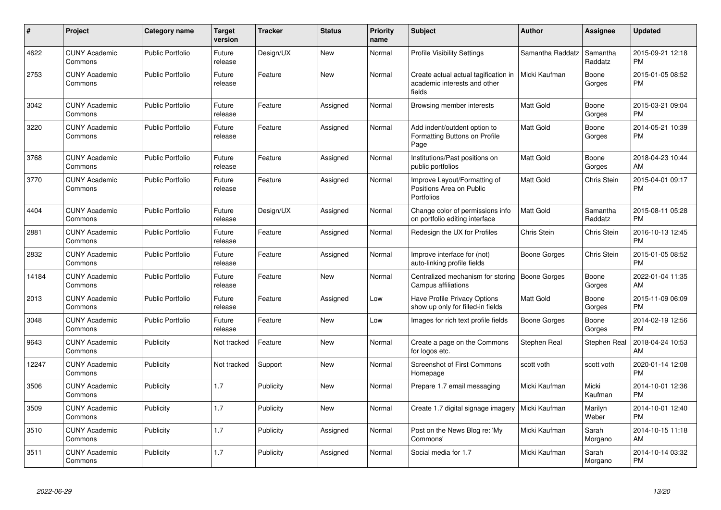| #     | Project                         | <b>Category name</b>    | Target<br>version | <b>Tracker</b> | <b>Status</b> | <b>Priority</b><br>name | <b>Subject</b>                                                                 | <b>Author</b>       | <b>Assignee</b>     | <b>Updated</b>                |
|-------|---------------------------------|-------------------------|-------------------|----------------|---------------|-------------------------|--------------------------------------------------------------------------------|---------------------|---------------------|-------------------------------|
| 4622  | <b>CUNY Academic</b><br>Commons | <b>Public Portfolio</b> | Future<br>release | Design/UX      | <b>New</b>    | Normal                  | <b>Profile Visibility Settings</b>                                             | Samantha Raddatz    | Samantha<br>Raddatz | 2015-09-21 12:18<br><b>PM</b> |
| 2753  | <b>CUNY Academic</b><br>Commons | Public Portfolio        | Future<br>release | Feature        | <b>New</b>    | Normal                  | Create actual actual tagification in<br>academic interests and other<br>fields | Micki Kaufman       | Boone<br>Gorges     | 2015-01-05 08:52<br><b>PM</b> |
| 3042  | <b>CUNY Academic</b><br>Commons | <b>Public Portfolio</b> | Future<br>release | Feature        | Assigned      | Normal                  | Browsing member interests                                                      | Matt Gold           | Boone<br>Gorges     | 2015-03-21 09:04<br><b>PM</b> |
| 3220  | <b>CUNY Academic</b><br>Commons | Public Portfolio        | Future<br>release | Feature        | Assigned      | Normal                  | Add indent/outdent option to<br>Formatting Buttons on Profile<br>Page          | Matt Gold           | Boone<br>Gorges     | 2014-05-21 10:39<br>PM        |
| 3768  | <b>CUNY Academic</b><br>Commons | <b>Public Portfolio</b> | Future<br>release | Feature        | Assigned      | Normal                  | Institutions/Past positions on<br>public portfolios                            | Matt Gold           | Boone<br>Gorges     | 2018-04-23 10:44<br>AM        |
| 3770  | <b>CUNY Academic</b><br>Commons | <b>Public Portfolio</b> | Future<br>release | Feature        | Assigned      | Normal                  | Improve Layout/Formatting of<br>Positions Area on Public<br>Portfolios         | Matt Gold           | Chris Stein         | 2015-04-01 09:17<br><b>PM</b> |
| 4404  | <b>CUNY Academic</b><br>Commons | <b>Public Portfolio</b> | Future<br>release | Design/UX      | Assigned      | Normal                  | Change color of permissions info<br>on portfolio editing interface             | Matt Gold           | Samantha<br>Raddatz | 2015-08-11 05:28<br>PM        |
| 2881  | <b>CUNY Academic</b><br>Commons | <b>Public Portfolio</b> | Future<br>release | Feature        | Assigned      | Normal                  | Redesign the UX for Profiles                                                   | Chris Stein         | Chris Stein         | 2016-10-13 12:45<br><b>PM</b> |
| 2832  | <b>CUNY Academic</b><br>Commons | <b>Public Portfolio</b> | Future<br>release | Feature        | Assigned      | Normal                  | Improve interface for (not)<br>auto-linking profile fields                     | <b>Boone Gorges</b> | Chris Stein         | 2015-01-05 08:52<br><b>PM</b> |
| 14184 | <b>CUNY Academic</b><br>Commons | <b>Public Portfolio</b> | Future<br>release | Feature        | <b>New</b>    | Normal                  | Centralized mechanism for storing<br>Campus affiliations                       | <b>Boone Gorges</b> | Boone<br>Gorges     | 2022-01-04 11:35<br>AM        |
| 2013  | <b>CUNY Academic</b><br>Commons | <b>Public Portfolio</b> | Future<br>release | Feature        | Assigned      | Low                     | Have Profile Privacy Options<br>show up only for filled-in fields              | Matt Gold           | Boone<br>Gorges     | 2015-11-09 06:09<br><b>PM</b> |
| 3048  | <b>CUNY Academic</b><br>Commons | <b>Public Portfolio</b> | Future<br>release | Feature        | New           | Low                     | Images for rich text profile fields                                            | Boone Gorges        | Boone<br>Gorges     | 2014-02-19 12:56<br><b>PM</b> |
| 9643  | <b>CUNY Academic</b><br>Commons | Publicity               | Not tracked       | Feature        | <b>New</b>    | Normal                  | Create a page on the Commons<br>for logos etc.                                 | Stephen Real        | Stephen Real        | 2018-04-24 10:53<br>AM        |
| 12247 | <b>CUNY Academic</b><br>Commons | Publicity               | Not tracked       | Support        | New           | Normal                  | <b>Screenshot of First Commons</b><br>Homepage                                 | scott voth          | scott voth          | 2020-01-14 12:08<br>PM        |
| 3506  | <b>CUNY Academic</b><br>Commons | Publicity               | 1.7               | Publicity      | New           | Normal                  | Prepare 1.7 email messaging                                                    | Micki Kaufman       | Micki<br>Kaufman    | 2014-10-01 12:36<br><b>PM</b> |
| 3509  | <b>CUNY Academic</b><br>Commons | Publicity               | 1.7               | Publicity      | <b>New</b>    | Normal                  | Create 1.7 digital signage imagery                                             | Micki Kaufman       | Marilyn<br>Weber    | 2014-10-01 12:40<br><b>PM</b> |
| 3510  | <b>CUNY Academic</b><br>Commons | Publicity               | 1.7               | Publicity      | Assigned      | Normal                  | Post on the News Blog re: 'My<br>Commons'                                      | Micki Kaufman       | Sarah<br>Morgano    | 2014-10-15 11:18<br>AM        |
| 3511  | <b>CUNY Academic</b><br>Commons | Publicity               | 1.7               | Publicity      | Assigned      | Normal                  | Social media for 1.7                                                           | Micki Kaufman       | Sarah<br>Morgano    | 2014-10-14 03:32<br><b>PM</b> |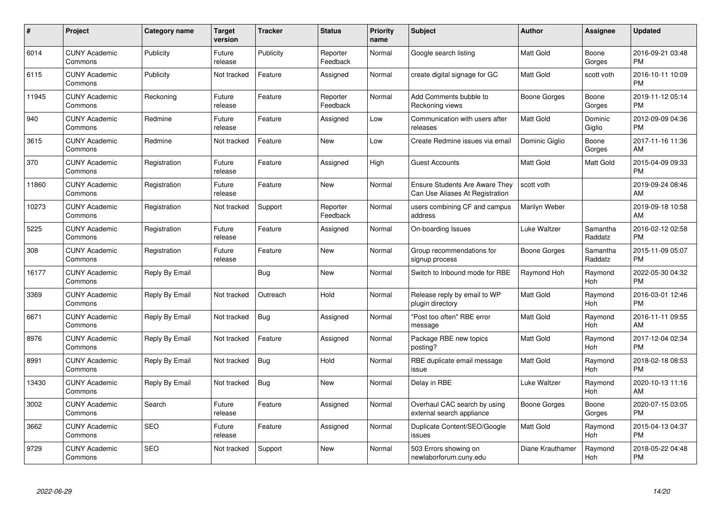| $\#$  | Project                         | <b>Category name</b> | Target<br>version | <b>Tracker</b> | <b>Status</b>        | <b>Priority</b><br>name | <b>Subject</b>                                                           | Author           | <b>Assignee</b>     | <b>Updated</b>                |
|-------|---------------------------------|----------------------|-------------------|----------------|----------------------|-------------------------|--------------------------------------------------------------------------|------------------|---------------------|-------------------------------|
| 6014  | <b>CUNY Academic</b><br>Commons | Publicity            | Future<br>release | Publicity      | Reporter<br>Feedback | Normal                  | Google search listing                                                    | <b>Matt Gold</b> | Boone<br>Gorges     | 2016-09-21 03:48<br><b>PM</b> |
| 6115  | <b>CUNY Academic</b><br>Commons | Publicity            | Not tracked       | Feature        | Assigned             | Normal                  | create digital signage for GC                                            | <b>Matt Gold</b> | scott voth          | 2016-10-11 10:09<br><b>PM</b> |
| 11945 | <b>CUNY Academic</b><br>Commons | Reckoning            | Future<br>release | Feature        | Reporter<br>Feedback | Normal                  | Add Comments bubble to<br>Reckoning views                                | Boone Gorges     | Boone<br>Gorges     | 2019-11-12 05:14<br><b>PM</b> |
| 940   | <b>CUNY Academic</b><br>Commons | Redmine              | Future<br>release | Feature        | Assigned             | Low                     | Communication with users after<br>releases                               | <b>Matt Gold</b> | Dominic<br>Giglio   | 2012-09-09 04:36<br><b>PM</b> |
| 3615  | <b>CUNY Academic</b><br>Commons | Redmine              | Not tracked       | Feature        | <b>New</b>           | Low                     | Create Redmine issues via email                                          | Dominic Giglio   | Boone<br>Gorges     | 2017-11-16 11:36<br>AM        |
| 370   | <b>CUNY Academic</b><br>Commons | Registration         | Future<br>release | Feature        | Assigned             | High                    | <b>Guest Accounts</b>                                                    | Matt Gold        | Matt Gold           | 2015-04-09 09:33<br><b>PM</b> |
| 11860 | <b>CUNY Academic</b><br>Commons | Registration         | Future<br>release | Feature        | <b>New</b>           | Normal                  | <b>Ensure Students Are Aware They</b><br>Can Use Aliases At Registration | scott voth       |                     | 2019-09-24 08:46<br>AM        |
| 10273 | <b>CUNY Academic</b><br>Commons | Registration         | Not tracked       | Support        | Reporter<br>Feedback | Normal                  | users combining CF and campus<br>address                                 | Marilyn Weber    |                     | 2019-09-18 10:58<br>AM        |
| 5225  | <b>CUNY Academic</b><br>Commons | Registration         | Future<br>release | Feature        | Assigned             | Normal                  | On-boarding Issues                                                       | Luke Waltzer     | Samantha<br>Raddatz | 2016-02-12 02:58<br><b>PM</b> |
| 308   | <b>CUNY Academic</b><br>Commons | Registration         | Future<br>release | Feature        | <b>New</b>           | Normal                  | Group recommendations for<br>signup process                              | Boone Gorges     | Samantha<br>Raddatz | 2015-11-09 05:07<br><b>PM</b> |
| 16177 | <b>CUNY Academic</b><br>Commons | Reply By Email       |                   | <b>Bug</b>     | <b>New</b>           | Normal                  | Switch to Inbound mode for RBE                                           | Raymond Hoh      | Raymond<br>Hoh      | 2022-05-30 04:32<br><b>PM</b> |
| 3369  | <b>CUNY Academic</b><br>Commons | Reply By Email       | Not tracked       | Outreach       | Hold                 | Normal                  | Release reply by email to WP<br>plugin directory                         | <b>Matt Gold</b> | Raymond<br>Hoh      | 2016-03-01 12:46<br><b>PM</b> |
| 6671  | <b>CUNY Academic</b><br>Commons | Reply By Email       | Not tracked       | <b>Bug</b>     | Assigned             | Normal                  | 'Post too often" RBE error<br>message                                    | <b>Matt Gold</b> | Raymond<br>Hoh      | 2016-11-11 09:55<br>AM        |
| 8976  | <b>CUNY Academic</b><br>Commons | Reply By Email       | Not tracked       | Feature        | Assigned             | Normal                  | Package RBE new topics<br>posting?                                       | <b>Matt Gold</b> | Raymond<br>Hoh      | 2017-12-04 02:34<br><b>PM</b> |
| 8991  | <b>CUNY Academic</b><br>Commons | Reply By Email       | Not tracked       | <b>Bug</b>     | Hold                 | Normal                  | RBE duplicate email message<br>issue                                     | Matt Gold        | Raymond<br>Hoh      | 2018-02-18 08:53<br><b>PM</b> |
| 13430 | <b>CUNY Academic</b><br>Commons | Reply By Email       | Not tracked       | <b>Bug</b>     | <b>New</b>           | Normal                  | Delay in RBE                                                             | Luke Waltzer     | Raymond<br>Hoh      | 2020-10-13 11:16<br>AM        |
| 3002  | <b>CUNY Academic</b><br>Commons | Search               | Future<br>release | Feature        | Assigned             | Normal                  | Overhaul CAC search by using<br>external search appliance                | Boone Gorges     | Boone<br>Gorges     | 2020-07-15 03:05<br><b>PM</b> |
| 3662  | <b>CUNY Academic</b><br>Commons | <b>SEO</b>           | Future<br>release | Feature        | Assigned             | Normal                  | Duplicate Content/SEO/Google<br>issues                                   | Matt Gold        | Raymond<br>Hoh      | 2015-04-13 04:37<br><b>PM</b> |
| 9729  | <b>CUNY Academic</b><br>Commons | <b>SEO</b>           | Not tracked       | Support        | <b>New</b>           | Normal                  | 503 Errors showing on<br>newlaborforum.cuny.edu                          | Diane Krauthamer | Raymond<br>Hoh      | 2018-05-22 04:48<br>PM        |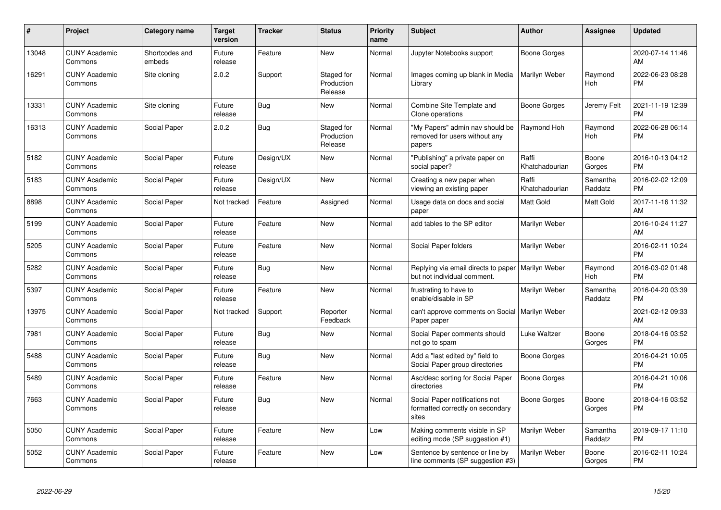| $\#$  | Project                         | <b>Category name</b>     | <b>Target</b><br>version | <b>Tracker</b> | <b>Status</b>                       | <b>Priority</b><br>name | <b>Subject</b>                                                                     | <b>Author</b>           | <b>Assignee</b>       | <b>Updated</b>                |
|-------|---------------------------------|--------------------------|--------------------------|----------------|-------------------------------------|-------------------------|------------------------------------------------------------------------------------|-------------------------|-----------------------|-------------------------------|
| 13048 | <b>CUNY Academic</b><br>Commons | Shortcodes and<br>embeds | Future<br>release        | Feature        | <b>New</b>                          | Normal                  | Jupyter Notebooks support                                                          | Boone Gorges            |                       | 2020-07-14 11:46<br>AM        |
| 16291 | <b>CUNY Academic</b><br>Commons | Site cloning             | 2.0.2                    | Support        | Staged for<br>Production<br>Release | Normal                  | Images coming up blank in Media<br>Library                                         | Marilyn Weber           | Raymond<br><b>Hoh</b> | 2022-06-23 08:28<br><b>PM</b> |
| 13331 | <b>CUNY Academic</b><br>Commons | Site cloning             | Future<br>release        | <b>Bug</b>     | New                                 | Normal                  | Combine Site Template and<br>Clone operations                                      | Boone Gorges            | Jeremy Felt           | 2021-11-19 12:39<br><b>PM</b> |
| 16313 | <b>CUNY Academic</b><br>Commons | Social Paper             | 2.0.2                    | Bug            | Staged for<br>Production<br>Release | Normal                  | "My Papers" admin nav should be<br>removed for users without any<br>papers         | Raymond Hoh             | Raymond<br>Hoh        | 2022-06-28 06:14<br><b>PM</b> |
| 5182  | <b>CUNY Academic</b><br>Commons | Social Paper             | Future<br>release        | Design/UX      | <b>New</b>                          | Normal                  | 'Publishing" a private paper on<br>social paper?                                   | Raffi<br>Khatchadourian | Boone<br>Gorges       | 2016-10-13 04:12<br><b>PM</b> |
| 5183  | <b>CUNY Academic</b><br>Commons | Social Paper             | Future<br>release        | Design/UX      | New                                 | Normal                  | Creating a new paper when<br>viewing an existing paper                             | Raffi<br>Khatchadourian | Samantha<br>Raddatz   | 2016-02-02 12:09<br><b>PM</b> |
| 8898  | <b>CUNY Academic</b><br>Commons | Social Paper             | Not tracked              | Feature        | Assigned                            | Normal                  | Usage data on docs and social<br>paper                                             | <b>Matt Gold</b>        | Matt Gold             | 2017-11-16 11:32<br>AM        |
| 5199  | <b>CUNY Academic</b><br>Commons | Social Paper             | Future<br>release        | Feature        | <b>New</b>                          | Normal                  | add tables to the SP editor                                                        | Marilyn Weber           |                       | 2016-10-24 11:27<br>AM        |
| 5205  | <b>CUNY Academic</b><br>Commons | Social Paper             | Future<br>release        | Feature        | New                                 | Normal                  | Social Paper folders                                                               | Marilyn Weber           |                       | 2016-02-11 10:24<br><b>PM</b> |
| 5282  | <b>CUNY Academic</b><br>Commons | Social Paper             | Future<br>release        | Bug            | <b>New</b>                          | Normal                  | Replying via email directs to paper   Marilyn Weber<br>but not individual comment. |                         | Raymond<br>Hoh        | 2016-03-02 01:48<br><b>PM</b> |
| 5397  | <b>CUNY Academic</b><br>Commons | Social Paper             | Future<br>release        | Feature        | New                                 | Normal                  | frustrating to have to<br>enable/disable in SP                                     | Marilyn Weber           | Samantha<br>Raddatz   | 2016-04-20 03:39<br><b>PM</b> |
| 13975 | <b>CUNY Academic</b><br>Commons | Social Paper             | Not tracked              | Support        | Reporter<br>Feedback                | Normal                  | can't approve comments on Social   Marilyn Weber<br>Paper paper                    |                         |                       | 2021-02-12 09:33<br>AM        |
| 7981  | <b>CUNY Academic</b><br>Commons | Social Paper             | Future<br>release        | Bug            | New                                 | Normal                  | Social Paper comments should<br>not go to spam                                     | Luke Waltzer            | Boone<br>Gorges       | 2018-04-16 03:52<br><b>PM</b> |
| 5488  | <b>CUNY Academic</b><br>Commons | Social Paper             | Future<br>release        | Bug            | New                                 | Normal                  | Add a "last edited by" field to<br>Social Paper group directories                  | Boone Gorges            |                       | 2016-04-21 10:05<br><b>PM</b> |
| 5489  | <b>CUNY Academic</b><br>Commons | Social Paper             | Future<br>release        | Feature        | New                                 | Normal                  | Asc/desc sorting for Social Paper<br>directories                                   | Boone Gorges            |                       | 2016-04-21 10:06<br><b>PM</b> |
| 7663  | <b>CUNY Academic</b><br>Commons | Social Paper             | Future<br>release        | Bug            | New                                 | Normal                  | Social Paper notifications not<br>formatted correctly on secondary<br>sites        | Boone Gorges            | Boone<br>Gorges       | 2018-04-16 03:52<br><b>PM</b> |
| 5050  | <b>CUNY Academic</b><br>Commons | Social Paper             | Future<br>release        | Feature        | <b>New</b>                          | Low                     | Making comments visible in SP<br>editing mode (SP suggestion #1)                   | Marilyn Weber           | Samantha<br>Raddatz   | 2019-09-17 11:10<br><b>PM</b> |
| 5052  | <b>CUNY Academic</b><br>Commons | Social Paper             | Future<br>release        | Feature        | <b>New</b>                          | Low                     | Sentence by sentence or line by<br>line comments (SP suggestion #3)                | Marilyn Weber           | Boone<br>Gorges       | 2016-02-11 10:24<br><b>PM</b> |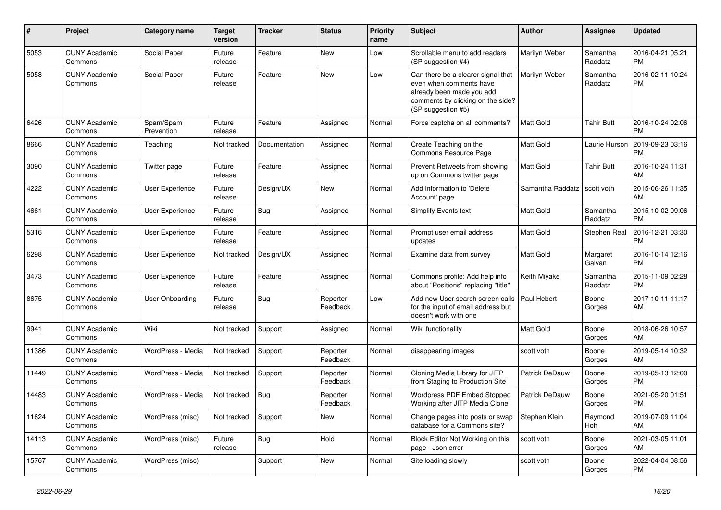| #     | Project                         | <b>Category name</b>    | <b>Target</b><br>version | <b>Tracker</b> | <b>Status</b>        | <b>Priority</b><br>name | Subject                                                                                                                                               | <b>Author</b>         | <b>Assignee</b>     | <b>Updated</b>                |
|-------|---------------------------------|-------------------------|--------------------------|----------------|----------------------|-------------------------|-------------------------------------------------------------------------------------------------------------------------------------------------------|-----------------------|---------------------|-------------------------------|
| 5053  | <b>CUNY Academic</b><br>Commons | Social Paper            | Future<br>release        | Feature        | <b>New</b>           | Low                     | Scrollable menu to add readers<br>(SP suggestion #4)                                                                                                  | Marilyn Weber         | Samantha<br>Raddatz | 2016-04-21 05:21<br><b>PM</b> |
| 5058  | <b>CUNY Academic</b><br>Commons | Social Paper            | Future<br>release        | Feature        | New                  | Low                     | Can there be a clearer signal that<br>even when comments have<br>already been made you add<br>comments by clicking on the side?<br>(SP suggestion #5) | Marilyn Weber         | Samantha<br>Raddatz | 2016-02-11 10:24<br><b>PM</b> |
| 6426  | <b>CUNY Academic</b><br>Commons | Spam/Spam<br>Prevention | Future<br>release        | Feature        | Assigned             | Normal                  | Force captcha on all comments?                                                                                                                        | <b>Matt Gold</b>      | <b>Tahir Butt</b>   | 2016-10-24 02:06<br><b>PM</b> |
| 8666  | <b>CUNY Academic</b><br>Commons | Teaching                | Not tracked              | Documentation  | Assigned             | Normal                  | Create Teaching on the<br>Commons Resource Page                                                                                                       | <b>Matt Gold</b>      | Laurie Hurson       | 2019-09-23 03:16<br><b>PM</b> |
| 3090  | <b>CUNY Academic</b><br>Commons | Twitter page            | Future<br>release        | Feature        | Assigned             | Normal                  | Prevent Retweets from showing<br>up on Commons twitter page                                                                                           | <b>Matt Gold</b>      | <b>Tahir Butt</b>   | 2016-10-24 11:31<br>AM        |
| 4222  | <b>CUNY Academic</b><br>Commons | User Experience         | Future<br>release        | Design/UX      | New                  | Normal                  | Add information to 'Delete<br>Account' page                                                                                                           | Samantha Raddatz      | scott voth          | 2015-06-26 11:35<br>AM        |
| 4661  | <b>CUNY Academic</b><br>Commons | User Experience         | Future<br>release        | Bug            | Assigned             | Normal                  | Simplify Events text                                                                                                                                  | <b>Matt Gold</b>      | Samantha<br>Raddatz | 2015-10-02 09:06<br><b>PM</b> |
| 5316  | <b>CUNY Academic</b><br>Commons | User Experience         | Future<br>release        | Feature        | Assigned             | Normal                  | Prompt user email address<br>updates                                                                                                                  | <b>Matt Gold</b>      | Stephen Real        | 2016-12-21 03:30<br><b>PM</b> |
| 6298  | <b>CUNY Academic</b><br>Commons | User Experience         | Not tracked              | Design/UX      | Assigned             | Normal                  | Examine data from survey                                                                                                                              | Matt Gold             | Margaret<br>Galvan  | 2016-10-14 12:16<br><b>PM</b> |
| 3473  | <b>CUNY Academic</b><br>Commons | User Experience         | Future<br>release        | Feature        | Assigned             | Normal                  | Commons profile: Add help info<br>about "Positions" replacing "title"                                                                                 | Keith Miyake          | Samantha<br>Raddatz | 2015-11-09 02:28<br><b>PM</b> |
| 8675  | <b>CUNY Academic</b><br>Commons | User Onboarding         | Future<br>release        | Bug            | Reporter<br>Feedback | Low                     | Add new User search screen calls<br>for the input of email address but<br>doesn't work with one                                                       | Paul Hebert           | Boone<br>Gorges     | 2017-10-11 11:17<br>AM        |
| 9941  | <b>CUNY Academic</b><br>Commons | Wiki                    | Not tracked              | Support        | Assigned             | Normal                  | Wiki functionality                                                                                                                                    | Matt Gold             | Boone<br>Gorges     | 2018-06-26 10:57<br>AM        |
| 11386 | <b>CUNY Academic</b><br>Commons | WordPress - Media       | Not tracked              | Support        | Reporter<br>Feedback | Normal                  | disappearing images                                                                                                                                   | scott voth            | Boone<br>Gorges     | 2019-05-14 10:32<br>AM        |
| 11449 | <b>CUNY Academic</b><br>Commons | WordPress - Media       | Not tracked              | Support        | Reporter<br>Feedback | Normal                  | Cloning Media Library for JITP<br>from Staging to Production Site                                                                                     | <b>Patrick DeDauw</b> | Boone<br>Gorges     | 2019-05-13 12:00<br><b>PM</b> |
| 14483 | <b>CUNY Academic</b><br>Commons | WordPress - Media       | Not tracked              | Bug            | Reporter<br>Feedback | Normal                  | Wordpress PDF Embed Stopped<br>Working after JITP Media Clone                                                                                         | <b>Patrick DeDauw</b> | Boone<br>Gorges     | 2021-05-20 01:51<br><b>PM</b> |
| 11624 | <b>CUNY Academic</b><br>Commons | WordPress (misc)        | Not tracked              | Support        | New                  | Normal                  | Change pages into posts or swap<br>database for a Commons site?                                                                                       | Stephen Klein         | Raymond<br>Hoh      | 2019-07-09 11:04<br>AM        |
| 14113 | <b>CUNY Academic</b><br>Commons | WordPress (misc)        | Future<br>release        | <b>Bug</b>     | Hold                 | Normal                  | Block Editor Not Working on this<br>page - Json error                                                                                                 | scott voth            | Boone<br>Gorges     | 2021-03-05 11:01<br>AM        |
| 15767 | <b>CUNY Academic</b><br>Commons | WordPress (misc)        |                          | Support        | New                  | Normal                  | Site loading slowly                                                                                                                                   | scott voth            | Boone<br>Gorges     | 2022-04-04 08:56<br><b>PM</b> |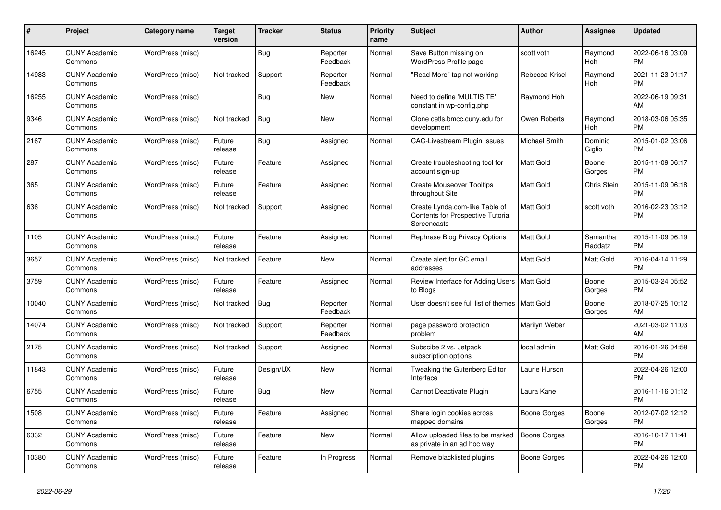| #     | Project                         | Category name    | <b>Target</b><br>version | <b>Tracker</b> | <b>Status</b>        | <b>Priority</b><br>name | <b>Subject</b>                                                                     | <b>Author</b>       | <b>Assignee</b>       | <b>Updated</b>                |
|-------|---------------------------------|------------------|--------------------------|----------------|----------------------|-------------------------|------------------------------------------------------------------------------------|---------------------|-----------------------|-------------------------------|
| 16245 | <b>CUNY Academic</b><br>Commons | WordPress (misc) |                          | <b>Bug</b>     | Reporter<br>Feedback | Normal                  | Save Button missing on<br><b>WordPress Profile page</b>                            | scott voth          | Raymond<br><b>Hoh</b> | 2022-06-16 03:09<br><b>PM</b> |
| 14983 | <b>CUNY Academic</b><br>Commons | WordPress (misc) | Not tracked              | Support        | Reporter<br>Feedback | Normal                  | 'Read More" tag not working                                                        | Rebecca Krisel      | Raymond<br>Hoh        | 2021-11-23 01:17<br><b>PM</b> |
| 16255 | <b>CUNY Academic</b><br>Commons | WordPress (misc) |                          | <b>Bug</b>     | <b>New</b>           | Normal                  | Need to define 'MULTISITE'<br>constant in wp-config.php                            | Raymond Hoh         |                       | 2022-06-19 09:31<br>AM        |
| 9346  | <b>CUNY Academic</b><br>Commons | WordPress (misc) | Not tracked              | <b>Bug</b>     | <b>New</b>           | Normal                  | Clone cetls.bmcc.cuny.edu for<br>development                                       | Owen Roberts        | Raymond<br>Hoh        | 2018-03-06 05:35<br><b>PM</b> |
| 2167  | <b>CUNY Academic</b><br>Commons | WordPress (misc) | Future<br>release        | Bug            | Assigned             | Normal                  | CAC-Livestream Plugin Issues                                                       | Michael Smith       | Dominic<br>Giglio     | 2015-01-02 03:06<br><b>PM</b> |
| 287   | <b>CUNY Academic</b><br>Commons | WordPress (misc) | Future<br>release        | Feature        | Assigned             | Normal                  | Create troubleshooting tool for<br>account sign-up                                 | <b>Matt Gold</b>    | Boone<br>Gorges       | 2015-11-09 06:17<br><b>PM</b> |
| 365   | <b>CUNY Academic</b><br>Commons | WordPress (misc) | Future<br>release        | Feature        | Assigned             | Normal                  | <b>Create Mouseover Tooltips</b><br>throughout Site                                | <b>Matt Gold</b>    | Chris Stein           | 2015-11-09 06:18<br><b>PM</b> |
| 636   | <b>CUNY Academic</b><br>Commons | WordPress (misc) | Not tracked              | Support        | Assigned             | Normal                  | Create Lynda.com-like Table of<br>Contents for Prospective Tutorial<br>Screencasts | <b>Matt Gold</b>    | scott voth            | 2016-02-23 03:12<br><b>PM</b> |
| 1105  | <b>CUNY Academic</b><br>Commons | WordPress (misc) | Future<br>release        | Feature        | Assigned             | Normal                  | Rephrase Blog Privacy Options                                                      | <b>Matt Gold</b>    | Samantha<br>Raddatz   | 2015-11-09 06:19<br><b>PM</b> |
| 3657  | <b>CUNY Academic</b><br>Commons | WordPress (misc) | Not tracked              | Feature        | <b>New</b>           | Normal                  | Create alert for GC email<br>addresses                                             | Matt Gold           | Matt Gold             | 2016-04-14 11:29<br><b>PM</b> |
| 3759  | <b>CUNY Academic</b><br>Commons | WordPress (misc) | Future<br>release        | Feature        | Assigned             | Normal                  | Review Interface for Adding Users   Matt Gold<br>to Blogs                          |                     | Boone<br>Gorges       | 2015-03-24 05:52<br><b>PM</b> |
| 10040 | <b>CUNY Academic</b><br>Commons | WordPress (misc) | Not tracked              | Bug            | Reporter<br>Feedback | Normal                  | User doesn't see full list of themes   Matt Gold                                   |                     | Boone<br>Gorges       | 2018-07-25 10:12<br>AM        |
| 14074 | <b>CUNY Academic</b><br>Commons | WordPress (misc) | Not tracked              | Support        | Reporter<br>Feedback | Normal                  | page password protection<br>problem                                                | Marilyn Weber       |                       | 2021-03-02 11:03<br>AM        |
| 2175  | <b>CUNY Academic</b><br>Commons | WordPress (misc) | Not tracked              | Support        | Assigned             | Normal                  | Subscibe 2 vs. Jetpack<br>subscription options                                     | local admin         | <b>Matt Gold</b>      | 2016-01-26 04:58<br><b>PM</b> |
| 11843 | <b>CUNY Academic</b><br>Commons | WordPress (misc) | Future<br>release        | Design/UX      | <b>New</b>           | Normal                  | Tweaking the Gutenberg Editor<br>Interface                                         | Laurie Hurson       |                       | 2022-04-26 12:00<br><b>PM</b> |
| 6755  | <b>CUNY Academic</b><br>Commons | WordPress (misc) | Future<br>release        | <b>Bug</b>     | <b>New</b>           | Normal                  | Cannot Deactivate Plugin                                                           | Laura Kane          |                       | 2016-11-16 01:12<br><b>PM</b> |
| 1508  | <b>CUNY Academic</b><br>Commons | WordPress (misc) | Future<br>release        | Feature        | Assigned             | Normal                  | Share login cookies across<br>mapped domains                                       | <b>Boone Gorges</b> | Boone<br>Gorges       | 2012-07-02 12:12<br><b>PM</b> |
| 6332  | <b>CUNY Academic</b><br>Commons | WordPress (misc) | Future<br>release        | Feature        | <b>New</b>           | Normal                  | Allow uploaded files to be marked<br>as private in an ad hoc way                   | <b>Boone Gorges</b> |                       | 2016-10-17 11:41<br><b>PM</b> |
| 10380 | <b>CUNY Academic</b><br>Commons | WordPress (misc) | Future<br>release        | Feature        | In Progress          | Normal                  | Remove blacklisted plugins                                                         | Boone Gorges        |                       | 2022-04-26 12:00<br><b>PM</b> |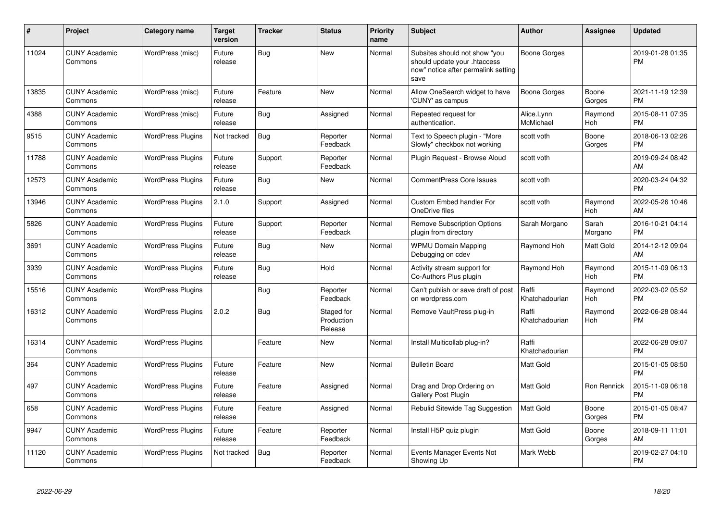| #     | Project                         | Category name            | <b>Target</b><br>version | <b>Tracker</b> | <b>Status</b>                       | Priority<br>name | <b>Subject</b>                                                                                               | <b>Author</b>           | Assignee              | <b>Updated</b>                |
|-------|---------------------------------|--------------------------|--------------------------|----------------|-------------------------------------|------------------|--------------------------------------------------------------------------------------------------------------|-------------------------|-----------------------|-------------------------------|
| 11024 | <b>CUNY Academic</b><br>Commons | WordPress (misc)         | Future<br>release        | <b>Bug</b>     | <b>New</b>                          | Normal           | Subsites should not show "you<br>should update your .htaccess<br>now" notice after permalink setting<br>save | <b>Boone Gorges</b>     |                       | 2019-01-28 01:35<br><b>PM</b> |
| 13835 | <b>CUNY Academic</b><br>Commons | WordPress (misc)         | Future<br>release        | Feature        | <b>New</b>                          | Normal           | Allow OneSearch widget to have<br>'CUNY' as campus                                                           | <b>Boone Gorges</b>     | Boone<br>Gorges       | 2021-11-19 12:39<br><b>PM</b> |
| 4388  | <b>CUNY Academic</b><br>Commons | WordPress (misc)         | Future<br>release        | Bug            | Assigned                            | Normal           | Repeated request for<br>authentication.                                                                      | Alice.Lynn<br>McMichael | Raymond<br><b>Hoh</b> | 2015-08-11 07:35<br><b>PM</b> |
| 9515  | <b>CUNY Academic</b><br>Commons | <b>WordPress Plugins</b> | Not tracked              | <b>Bug</b>     | Reporter<br>Feedback                | Normal           | Text to Speech plugin - "More<br>Slowly" checkbox not working                                                | scott voth              | Boone<br>Gorges       | 2018-06-13 02:26<br><b>PM</b> |
| 11788 | <b>CUNY Academic</b><br>Commons | <b>WordPress Plugins</b> | Future<br>release        | Support        | Reporter<br>Feedback                | Normal           | Plugin Request - Browse Aloud                                                                                | scott voth              |                       | 2019-09-24 08:42<br>AM        |
| 12573 | <b>CUNY Academic</b><br>Commons | <b>WordPress Plugins</b> | Future<br>release        | Bug            | <b>New</b>                          | Normal           | <b>CommentPress Core Issues</b>                                                                              | scott voth              |                       | 2020-03-24 04:32<br><b>PM</b> |
| 13946 | <b>CUNY Academic</b><br>Commons | <b>WordPress Plugins</b> | 2.1.0                    | Support        | Assigned                            | Normal           | <b>Custom Embed handler For</b><br>OneDrive files                                                            | scott voth              | Raymond<br>Hoh        | 2022-05-26 10:46<br>AM        |
| 5826  | <b>CUNY Academic</b><br>Commons | <b>WordPress Plugins</b> | Future<br>release        | Support        | Reporter<br>Feedback                | Normal           | <b>Remove Subscription Options</b><br>plugin from directory                                                  | Sarah Morgano           | Sarah<br>Morgano      | 2016-10-21 04:14<br><b>PM</b> |
| 3691  | <b>CUNY Academic</b><br>Commons | <b>WordPress Plugins</b> | Future<br>release        | Bug            | New                                 | Normal           | <b>WPMU Domain Mapping</b><br>Debugging on cdev                                                              | Raymond Hoh             | Matt Gold             | 2014-12-12 09:04<br>AM        |
| 3939  | <b>CUNY Academic</b><br>Commons | <b>WordPress Plugins</b> | Future<br>release        | Bug            | Hold                                | Normal           | Activity stream support for<br>Co-Authors Plus plugin                                                        | Raymond Hoh             | Raymond<br><b>Hoh</b> | 2015-11-09 06:13<br><b>PM</b> |
| 15516 | <b>CUNY Academic</b><br>Commons | <b>WordPress Plugins</b> |                          | <b>Bug</b>     | Reporter<br>Feedback                | Normal           | Can't publish or save draft of post<br>on wordpress.com                                                      | Raffi<br>Khatchadourian | Raymond<br>Hoh        | 2022-03-02 05:52<br><b>PM</b> |
| 16312 | <b>CUNY Academic</b><br>Commons | <b>WordPress Plugins</b> | 2.0.2                    | <b>Bug</b>     | Staged for<br>Production<br>Release | Normal           | Remove VaultPress plug-in                                                                                    | Raffi<br>Khatchadourian | Raymond<br>Hoh        | 2022-06-28 08:44<br><b>PM</b> |
| 16314 | <b>CUNY Academic</b><br>Commons | <b>WordPress Plugins</b> |                          | Feature        | New                                 | Normal           | Install Multicollab plug-in?                                                                                 | Raffi<br>Khatchadourian |                       | 2022-06-28 09:07<br><b>PM</b> |
| 364   | <b>CUNY Academic</b><br>Commons | <b>WordPress Plugins</b> | Future<br>release        | Feature        | <b>New</b>                          | Normal           | <b>Bulletin Board</b>                                                                                        | <b>Matt Gold</b>        |                       | 2015-01-05 08:50<br><b>PM</b> |
| 497   | <b>CUNY Academic</b><br>Commons | <b>WordPress Plugins</b> | Future<br>release        | Feature        | Assigned                            | Normal           | Drag and Drop Ordering on<br><b>Gallery Post Plugin</b>                                                      | Matt Gold               | Ron Rennick           | 2015-11-09 06:18<br><b>PM</b> |
| 658   | <b>CUNY Academic</b><br>Commons | <b>WordPress Plugins</b> | Future<br>release        | Feature        | Assigned                            | Normal           | Rebulid Sitewide Tag Suggestion                                                                              | <b>Matt Gold</b>        | Boone<br>Gorges       | 2015-01-05 08:47<br><b>PM</b> |
| 9947  | <b>CUNY Academic</b><br>Commons | <b>WordPress Plugins</b> | Future<br>release        | Feature        | Reporter<br>Feedback                | Normal           | Install H5P quiz plugin                                                                                      | Matt Gold               | Boone<br>Gorges       | 2018-09-11 11:01<br>AM        |
| 11120 | <b>CUNY Academic</b><br>Commons | <b>WordPress Plugins</b> | Not tracked              | <b>Bug</b>     | Reporter<br>Feedback                | Normal           | Events Manager Events Not<br>Showing Up                                                                      | Mark Webb               |                       | 2019-02-27 04:10<br>PM        |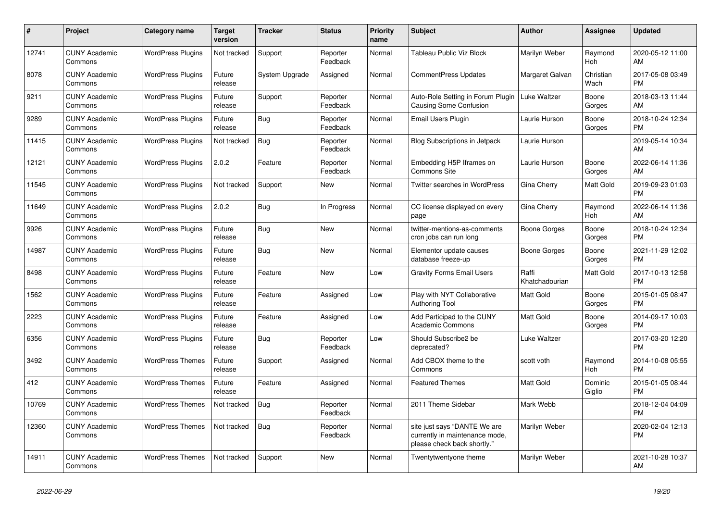| #     | <b>Project</b>                  | Category name            | Target<br>version | <b>Tracker</b> | <b>Status</b>        | <b>Priority</b><br>name | <b>Subject</b>                                                                                | <b>Author</b>           | <b>Assignee</b>       | <b>Updated</b>                |
|-------|---------------------------------|--------------------------|-------------------|----------------|----------------------|-------------------------|-----------------------------------------------------------------------------------------------|-------------------------|-----------------------|-------------------------------|
| 12741 | <b>CUNY Academic</b><br>Commons | <b>WordPress Plugins</b> | Not tracked       | Support        | Reporter<br>Feedback | Normal                  | Tableau Public Viz Block                                                                      | Marilyn Weber           | Raymond<br><b>Hoh</b> | 2020-05-12 11:00<br>AM        |
| 8078  | <b>CUNY Academic</b><br>Commons | <b>WordPress Plugins</b> | Future<br>release | System Upgrade | Assigned             | Normal                  | <b>CommentPress Updates</b>                                                                   | Margaret Galvan         | Christian<br>Wach     | 2017-05-08 03:49<br><b>PM</b> |
| 9211  | <b>CUNY Academic</b><br>Commons | WordPress Plugins        | Future<br>release | Support        | Reporter<br>Feedback | Normal                  | Auto-Role Setting in Forum Plugin<br><b>Causing Some Confusion</b>                            | Luke Waltzer            | Boone<br>Gorges       | 2018-03-13 11:44<br>AM        |
| 9289  | <b>CUNY Academic</b><br>Commons | <b>WordPress Plugins</b> | Future<br>release | <b>Bug</b>     | Reporter<br>Feedback | Normal                  | <b>Email Users Plugin</b>                                                                     | Laurie Hurson           | Boone<br>Gorges       | 2018-10-24 12:34<br><b>PM</b> |
| 11415 | <b>CUNY Academic</b><br>Commons | <b>WordPress Plugins</b> | Not tracked       | <b>Bug</b>     | Reporter<br>Feedback | Normal                  | <b>Blog Subscriptions in Jetpack</b>                                                          | Laurie Hurson           |                       | 2019-05-14 10:34<br>AM        |
| 12121 | <b>CUNY Academic</b><br>Commons | <b>WordPress Plugins</b> | 2.0.2             | Feature        | Reporter<br>Feedback | Normal                  | Embedding H5P Iframes on<br><b>Commons Site</b>                                               | Laurie Hurson           | Boone<br>Gorges       | 2022-06-14 11:36<br>AM        |
| 11545 | <b>CUNY Academic</b><br>Commons | <b>WordPress Plugins</b> | Not tracked       | Support        | <b>New</b>           | Normal                  | <b>Twitter searches in WordPress</b>                                                          | Gina Cherry             | <b>Matt Gold</b>      | 2019-09-23 01:03<br><b>PM</b> |
| 11649 | <b>CUNY Academic</b><br>Commons | <b>WordPress Plugins</b> | 2.0.2             | <b>Bug</b>     | In Progress          | Normal                  | CC license displayed on every<br>page                                                         | Gina Cherry             | Raymond<br>Hoh        | 2022-06-14 11:36<br>AM        |
| 9926  | <b>CUNY Academic</b><br>Commons | <b>WordPress Plugins</b> | Future<br>release | Bug            | <b>New</b>           | Normal                  | twitter-mentions-as-comments<br>cron jobs can run long                                        | Boone Gorges            | Boone<br>Gorges       | 2018-10-24 12:34<br><b>PM</b> |
| 14987 | <b>CUNY Academic</b><br>Commons | <b>WordPress Plugins</b> | Future<br>release | <b>Bug</b>     | <b>New</b>           | Normal                  | Elementor update causes<br>database freeze-up                                                 | <b>Boone Gorges</b>     | Boone<br>Gorges       | 2021-11-29 12:02<br><b>PM</b> |
| 8498  | <b>CUNY Academic</b><br>Commons | <b>WordPress Plugins</b> | Future<br>release | Feature        | <b>New</b>           | Low                     | <b>Gravity Forms Email Users</b>                                                              | Raffi<br>Khatchadourian | <b>Matt Gold</b>      | 2017-10-13 12:58<br><b>PM</b> |
| 1562  | <b>CUNY Academic</b><br>Commons | <b>WordPress Plugins</b> | Future<br>release | Feature        | Assigned             | Low                     | Play with NYT Collaborative<br>Authoring Tool                                                 | Matt Gold               | Boone<br>Gorges       | 2015-01-05 08:47<br><b>PM</b> |
| 2223  | <b>CUNY Academic</b><br>Commons | <b>WordPress Plugins</b> | Future<br>release | Feature        | Assigned             | Low                     | Add Participad to the CUNY<br><b>Academic Commons</b>                                         | <b>Matt Gold</b>        | Boone<br>Gorges       | 2014-09-17 10:03<br><b>PM</b> |
| 6356  | <b>CUNY Academic</b><br>Commons | <b>WordPress Plugins</b> | Future<br>release | Bug            | Reporter<br>Feedback | Low                     | Should Subscribe2 be<br>deprecated?                                                           | Luke Waltzer            |                       | 2017-03-20 12:20<br><b>PM</b> |
| 3492  | <b>CUNY Academic</b><br>Commons | <b>WordPress Themes</b>  | Future<br>release | Support        | Assigned             | Normal                  | Add CBOX theme to the<br>Commons                                                              | scott voth              | Raymond<br>Hoh        | 2014-10-08 05:55<br><b>PM</b> |
| 412   | <b>CUNY Academic</b><br>Commons | <b>WordPress Themes</b>  | Future<br>release | Feature        | Assigned             | Normal                  | <b>Featured Themes</b>                                                                        | <b>Matt Gold</b>        | Dominic<br>Giglio     | 2015-01-05 08:44<br><b>PM</b> |
| 10769 | <b>CUNY Academic</b><br>Commons | <b>WordPress Themes</b>  | Not tracked       | Bug            | Reporter<br>Feedback | Normal                  | 2011 Theme Sidebar                                                                            | Mark Webb               |                       | 2018-12-04 04:09<br><b>PM</b> |
| 12360 | <b>CUNY Academic</b><br>Commons | <b>WordPress Themes</b>  | Not tracked       | <b>Bug</b>     | Reporter<br>Feedback | Normal                  | site just says "DANTE We are<br>currently in maintenance mode,<br>please check back shortly." | Marilyn Weber           |                       | 2020-02-04 12:13<br><b>PM</b> |
| 14911 | <b>CUNY Academic</b><br>Commons | <b>WordPress Themes</b>  | Not tracked       | Support        | <b>New</b>           | Normal                  | Twentytwentyone theme                                                                         | Marilyn Weber           |                       | 2021-10-28 10:37<br>AM        |